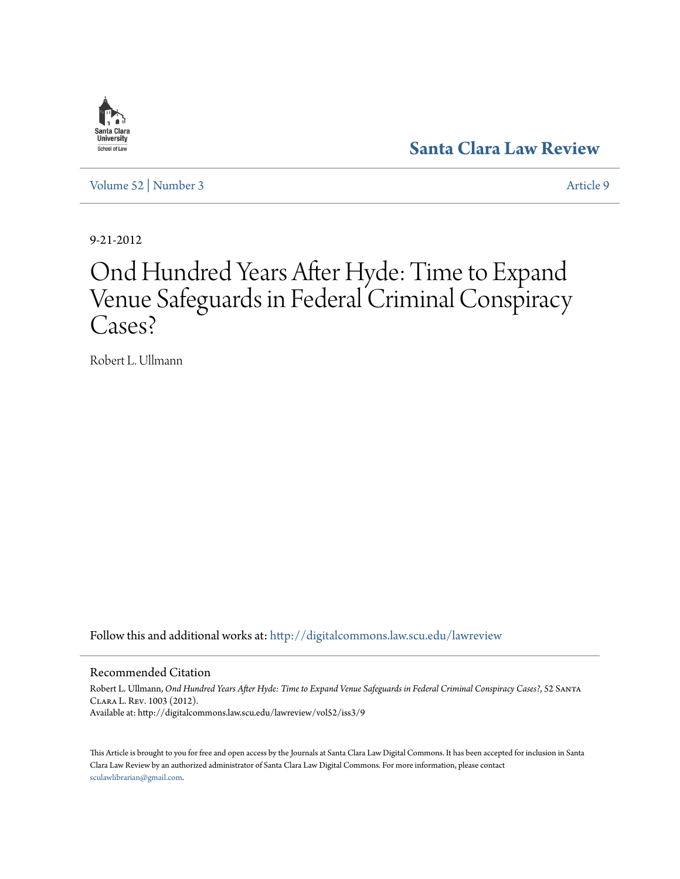## Santa Clar: **University** School of Law

**[Santa Clara Law Review](http://digitalcommons.law.scu.edu/lawreview?utm_source=digitalcommons.law.scu.edu%2Flawreview%2Fvol52%2Fiss3%2F9&utm_medium=PDF&utm_campaign=PDFCoverPages)**

[Volume 52](http://digitalcommons.law.scu.edu/lawreview/vol52?utm_source=digitalcommons.law.scu.edu%2Flawreview%2Fvol52%2Fiss3%2F9&utm_medium=PDF&utm_campaign=PDFCoverPages) | [Number 3](http://digitalcommons.law.scu.edu/lawreview/vol52/iss3?utm_source=digitalcommons.law.scu.edu%2Flawreview%2Fvol52%2Fiss3%2F9&utm_medium=PDF&utm_campaign=PDFCoverPages) [Article 9](http://digitalcommons.law.scu.edu/lawreview/vol52/iss3/9?utm_source=digitalcommons.law.scu.edu%2Flawreview%2Fvol52%2Fiss3%2F9&utm_medium=PDF&utm_campaign=PDFCoverPages)

9-21-2012

# Ond Hundred Years After Hyde: Time to Expand Venue Safeguards in Federal Criminal Conspiracy Cases?

Robert L. Ullmann

Follow this and additional works at: [http://digitalcommons.law.scu.edu/lawreview](http://digitalcommons.law.scu.edu/lawreview?utm_source=digitalcommons.law.scu.edu%2Flawreview%2Fvol52%2Fiss3%2F9&utm_medium=PDF&utm_campaign=PDFCoverPages)

Recommended Citation

Robert L. Ullmann, *Ond Hundred Years After Hyde: Time to Expand Venue Safeguards in Federal Criminal Conspiracy Cases?*, 52 Santa Clara L. Rev. 1003 (2012). Available at: http://digitalcommons.law.scu.edu/lawreview/vol52/iss3/9

This Article is brought to you for free and open access by the Journals at Santa Clara Law Digital Commons. It has been accepted for inclusion in Santa Clara Law Review by an authorized administrator of Santa Clara Law Digital Commons. For more information, please contact [sculawlibrarian@gmail.com](mailto:sculawlibrarian@gmail.com).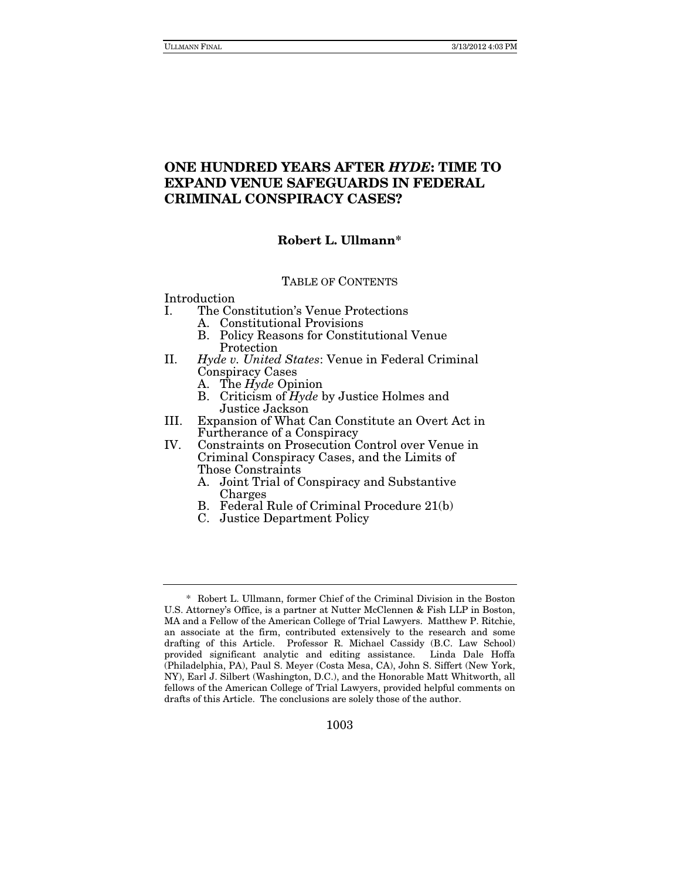### **ONE HUNDRED YEARS AFTER** *HYDE***: TIME TO EXPAND VENUE SAFEGUARDS IN FEDERAL CRIMINAL CONSPIRACY CASES?**

#### **Robert L. Ullmann\***

#### TABLE OF CONTENTS

#### Introduction

- I. The Constitution's Venue Protections
	- A. Constitutional Provisions
	- B. Policy Reasons for Constitutional Venue Protection
- II. Hyde v. United States: Venue in Federal Criminal Conspiracy Cases
	- A. The Hyde Opinion
	- B. Criticism of  $Hyde$  by Justice Holmes and Justice Jackson
- III. Expansion of What Can Constitute an Overt Act in Furtherance of a Conspiracy
- IV. Constraints on Prosecution Control over Venue in Criminal Conspiracy Cases, and the Limits of Those Constraints
	- A. Joint Trial of Conspiracy and Substantive Charges
	- B. Federal Rule of Criminal Procedure 21(b)
	- C. Justice Department Policy

 <sup>\*</sup> Robert L. Ullmann, former Chief of the Criminal Division in the Boston U.S. Attorney's Office, is a partner at Nutter McClennen & Fish LLP in Boston, MA and a Fellow of the American College of Trial Lawyers. Matthew P. Ritchie, an associate at the firm, contributed extensively to the research and some drafting of this Article. Professor R. Michael Cassidy (B.C. Law School) provided significant analytic and editing assistance. Linda Dale Hoffa (Philadelphia, PA), Paul S. Meyer (Costa Mesa, CA), John S. Siffert (New York, NY), Earl J. Silbert (Washington, D.C.), and the Honorable Matt Whitworth, all fellows of the American College of Trial Lawyers, provided helpful comments on drafts of this Article. The conclusions are solely those of the author.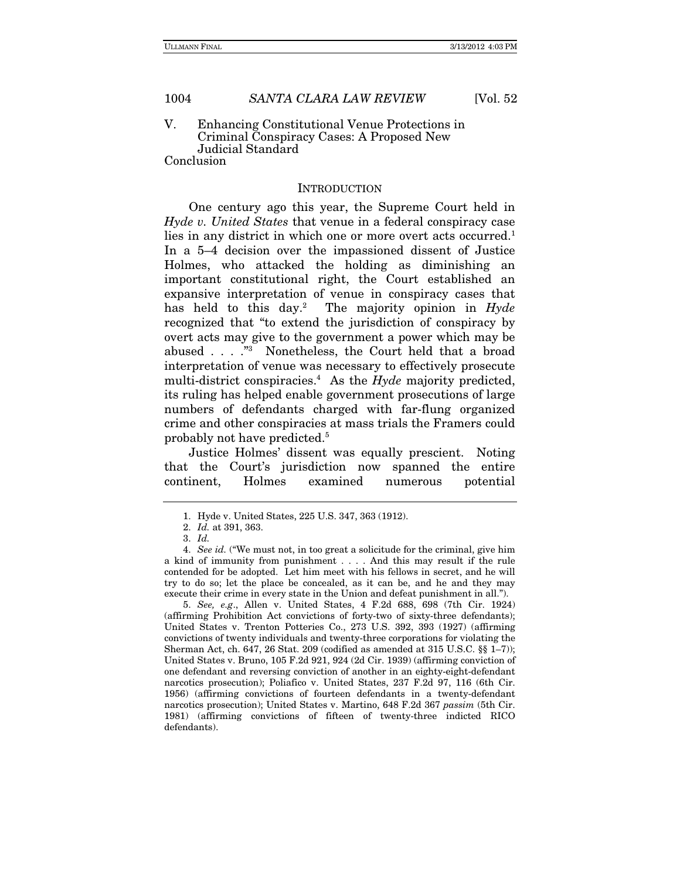#### V. Enhancing Constitutional Venue Protections in Criminal Conspiracy Cases: A Proposed New Judicial Standard

Conclusion

#### **INTRODUCTION**

One century ago this year, the Supreme Court held in Hyde v. United States that venue in a federal conspiracy case lies in any district in which one or more overt acts occurred.<sup>1</sup> In a 5–4 decision over the impassioned dissent of Justice Holmes, who attacked the holding as diminishing an important constitutional right, the Court established an expansive interpretation of venue in conspiracy cases that has held to this day.<sup>2</sup> The majority opinion in Hyde recognized that "to extend the jurisdiction of conspiracy by overt acts may give to the government a power which may be abused . . . ."3 Nonetheless, the Court held that a broad interpretation of venue was necessary to effectively prosecute multi-district conspiracies.<sup>4</sup> As the  $Hyde$  majority predicted, its ruling has helped enable government prosecutions of large numbers of defendants charged with far-flung organized crime and other conspiracies at mass trials the Framers could probably not have predicted.5

Justice Holmes' dissent was equally prescient. Noting that the Court's jurisdiction now spanned the entire continent, Holmes examined numerous potential

5. See, e.g., Allen v. United States, 4 F.2d 688, 698 (7th Cir. 1924) (affirming Prohibition Act convictions of forty-two of sixty-three defendants); United States v. Trenton Potteries Co., 273 U.S. 392, 393 (1927) (affirming convictions of twenty individuals and twenty-three corporations for violating the Sherman Act, ch. 647, 26 Stat. 209 (codified as amended at 315 U.S.C. §§ 1–7)); United States v. Bruno, 105 F.2d 921, 924 (2d Cir. 1939) (affirming conviction of one defendant and reversing conviction of another in an eighty-eight-defendant narcotics prosecution); Poliafico v. United States, 237 F.2d 97, 116 (6th Cir. 1956) (affirming convictions of fourteen defendants in a twenty-defendant narcotics prosecution); United States v. Martino, 648 F.2d 367 passim (5th Cir. 1981) (affirming convictions of fifteen of twenty-three indicted RICO defendants).

 <sup>1.</sup> Hyde v. United States, 225 U.S. 347, 363 (1912).

<sup>2.</sup> Id. at 391, 363.

<sup>3.</sup> Id.

<sup>4.</sup> See id. ("We must not, in too great a solicitude for the criminal, give him a kind of immunity from punishment . . . . And this may result if the rule contended for be adopted. Let him meet with his fellows in secret, and he will try to do so; let the place be concealed, as it can be, and he and they may execute their crime in every state in the Union and defeat punishment in all.").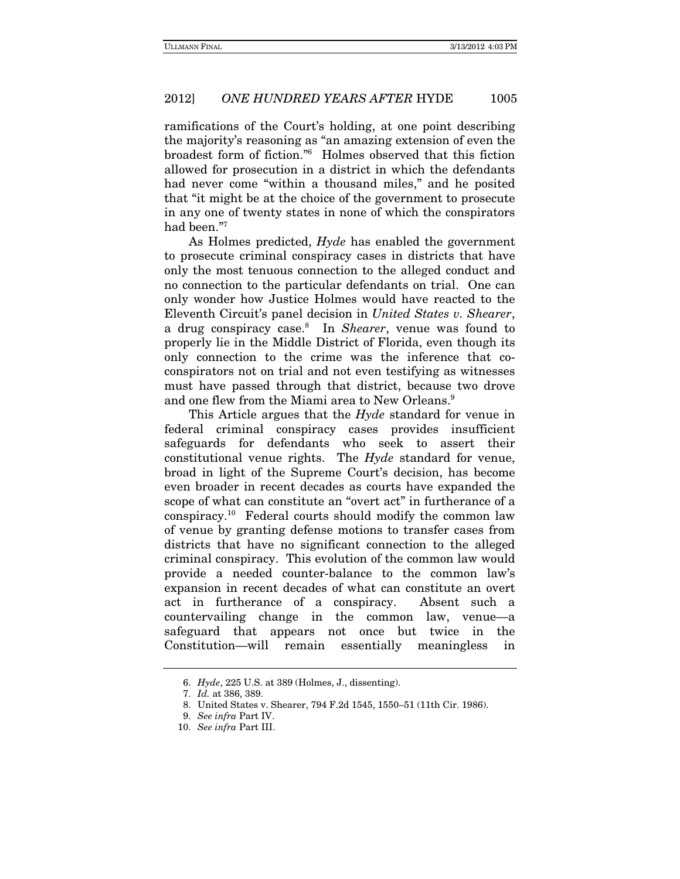ramifications of the Court's holding, at one point describing the majority's reasoning as "an amazing extension of even the broadest form of fiction."6 Holmes observed that this fiction allowed for prosecution in a district in which the defendants had never come "within a thousand miles," and he posited that "it might be at the choice of the government to prosecute in any one of twenty states in none of which the conspirators had been."7

As Holmes predicted, *Hyde* has enabled the government to prosecute criminal conspiracy cases in districts that have only the most tenuous connection to the alleged conduct and no connection to the particular defendants on trial. One can only wonder how Justice Holmes would have reacted to the Eleventh Circuit's panel decision in United States v. Shearer, a drug conspiracy case.<sup>8</sup> In Shearer, venue was found to properly lie in the Middle District of Florida, even though its only connection to the crime was the inference that coconspirators not on trial and not even testifying as witnesses must have passed through that district, because two drove and one flew from the Miami area to New Orleans.<sup>9</sup>

This Article argues that the *Hyde* standard for venue in federal criminal conspiracy cases provides insufficient safeguards for defendants who seek to assert their constitutional venue rights. The Hyde standard for venue, broad in light of the Supreme Court's decision, has become even broader in recent decades as courts have expanded the scope of what can constitute an "overt act" in furtherance of a conspiracy.10 Federal courts should modify the common law of venue by granting defense motions to transfer cases from districts that have no significant connection to the alleged criminal conspiracy. This evolution of the common law would provide a needed counter-balance to the common law's expansion in recent decades of what can constitute an overt act in furtherance of a conspiracy. Absent such a countervailing change in the common law, venue—a safeguard that appears not once but twice in the Constitution—will remain essentially meaningless in

<sup>6.</sup> Hyde, 225 U.S. at 389 (Holmes, J., dissenting).

<sup>7.</sup> Id. at 386, 389.

 <sup>8.</sup> United States v. Shearer, 794 F.2d 1545, 1550–51 (11th Cir. 1986).

<sup>9.</sup> See infra Part IV.

<sup>10.</sup> See infra Part III.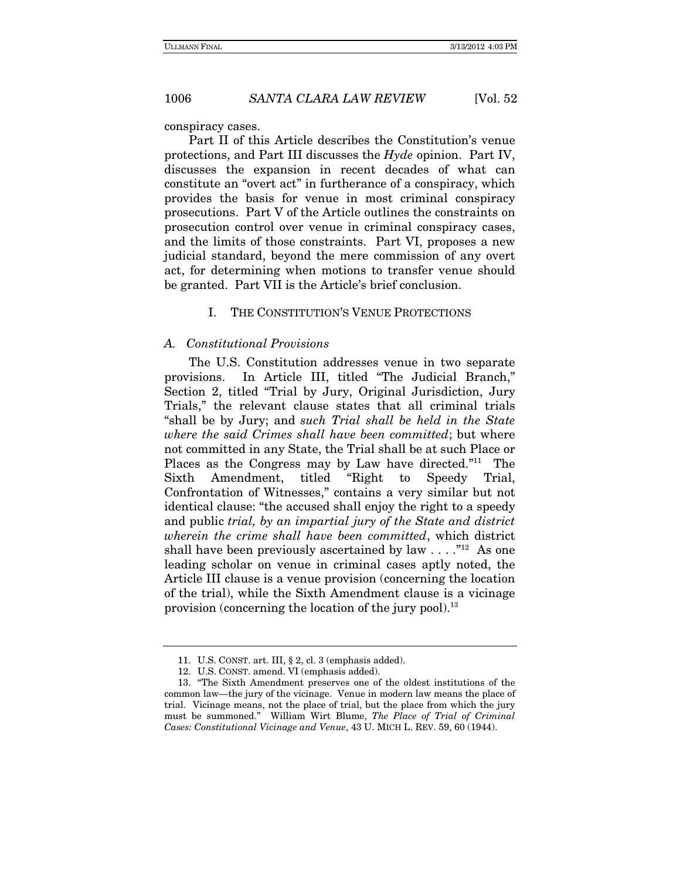conspiracy cases.

Part II of this Article describes the Constitution's venue protections, and Part III discusses the Hyde opinion. Part IV, discusses the expansion in recent decades of what can constitute an "overt act" in furtherance of a conspiracy, which provides the basis for venue in most criminal conspiracy prosecutions. Part V of the Article outlines the constraints on prosecution control over venue in criminal conspiracy cases, and the limits of those constraints. Part VI, proposes a new judicial standard, beyond the mere commission of any overt act, for determining when motions to transfer venue should be granted. Part VII is the Article's brief conclusion.

I. THE CONSTITUTION'S VENUE PROTECTIONS

#### A. Constitutional Provisions

The U.S. Constitution addresses venue in two separate provisions. In Article III, titled "The Judicial Branch," Section 2, titled "Trial by Jury, Original Jurisdiction, Jury Trials," the relevant clause states that all criminal trials "shall be by Jury; and such Trial shall be held in the State where the said Crimes shall have been committed; but where not committed in any State, the Trial shall be at such Place or Places as the Congress may by Law have directed."<sup>11</sup> The Sixth Amendment, titled "Right to Speedy Trial, Confrontation of Witnesses," contains a very similar but not identical clause: "the accused shall enjoy the right to a speedy and public trial, by an impartial jury of the State and district wherein the crime shall have been committed, which district shall have been previously ascertained by law  $\dots$ ."<sup>12</sup> As one leading scholar on venue in criminal cases aptly noted, the Article III clause is a venue provision (concerning the location of the trial), while the Sixth Amendment clause is a vicinage provision (concerning the location of the jury pool). $^{13}$ 

 <sup>11.</sup> U.S. CONST. art. III, § 2, cl. 3 (emphasis added).

 <sup>12.</sup> U.S. CONST. amend. VI (emphasis added).

 <sup>13. &</sup>quot;The Sixth Amendment preserves one of the oldest institutions of the common law—the jury of the vicinage. Venue in modern law means the place of trial. Vicinage means, not the place of trial, but the place from which the jury must be summoned." William Wirt Blume, The Place of Trial of Criminal Cases: Constitutional Vicinage and Venue, 43 U. MICH L. REV. 59, 60 (1944).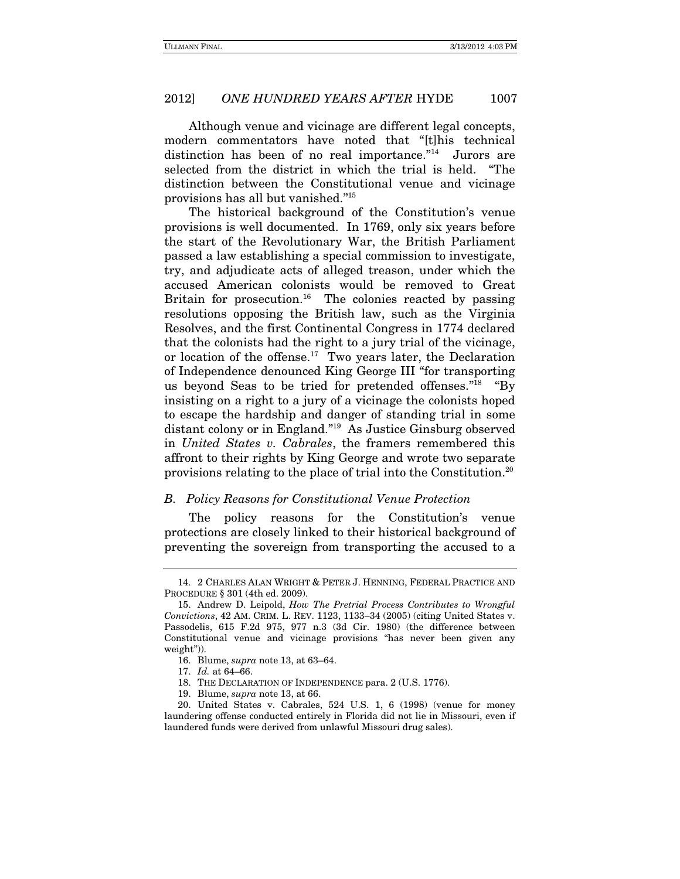Although venue and vicinage are different legal concepts, modern commentators have noted that "[t]his technical distinction has been of no real importance."<sup>14</sup> Jurors are selected from the district in which the trial is held. "The distinction between the Constitutional venue and vicinage provisions has all but vanished."15

The historical background of the Constitution's venue provisions is well documented. In 1769, only six years before the start of the Revolutionary War, the British Parliament passed a law establishing a special commission to investigate, try, and adjudicate acts of alleged treason, under which the accused American colonists would be removed to Great Britain for prosecution.<sup>16</sup> The colonies reacted by passing resolutions opposing the British law, such as the Virginia Resolves, and the first Continental Congress in 1774 declared that the colonists had the right to a jury trial of the vicinage, or location of the offense.<sup>17</sup> Two years later, the Declaration of Independence denounced King George III "for transporting us beyond Seas to be tried for pretended offenses."18 "By insisting on a right to a jury of a vicinage the colonists hoped to escape the hardship and danger of standing trial in some distant colony or in England."19 As Justice Ginsburg observed in United States v. Cabrales, the framers remembered this affront to their rights by King George and wrote two separate provisions relating to the place of trial into the Constitution.20

#### B. Policy Reasons for Constitutional Venue Protection

The policy reasons for the Constitution's venue protections are closely linked to their historical background of preventing the sovereign from transporting the accused to a

 <sup>14. 2</sup> CHARLES ALAN WRIGHT & PETER J. HENNING, FEDERAL PRACTICE AND PROCEDURE § 301 (4th ed. 2009).

 <sup>15.</sup> Andrew D. Leipold, How The Pretrial Process Contributes to Wrongful Convictions, 42 AM. CRIM. L. REV. 1123, 1133–34 (2005) (citing United States v. Passodelis, 615 F.2d 975, 977 n.3 (3d Cir. 1980) (the difference between Constitutional venue and vicinage provisions "has never been given any weight")).

 <sup>16.</sup> Blume, supra note 13, at 63–64.

<sup>17.</sup> Id. at 64–66.

 <sup>18.</sup> THE DECLARATION OF INDEPENDENCE para. 2 (U.S. 1776).

 <sup>19.</sup> Blume, supra note 13, at 66.

 <sup>20.</sup> United States v. Cabrales, 524 U.S. 1, 6 (1998) (venue for money laundering offense conducted entirely in Florida did not lie in Missouri, even if laundered funds were derived from unlawful Missouri drug sales).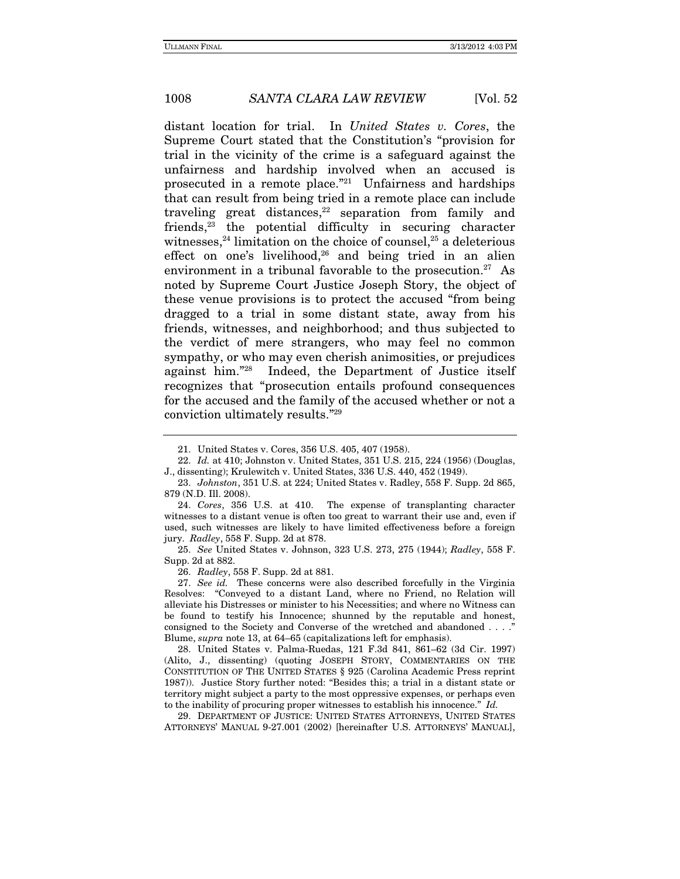distant location for trial. In United States v. Cores, the Supreme Court stated that the Constitution's "provision for trial in the vicinity of the crime is a safeguard against the unfairness and hardship involved when an accused is prosecuted in a remote place."21 Unfairness and hardships that can result from being tried in a remote place can include traveling great distances, $22$  separation from family and friends,23 the potential difficulty in securing character witnesses,  $24$  limitation on the choice of counsel,  $25$  a deleterious effect on one's livelihood, $26$  and being tried in an alien environment in a tribunal favorable to the prosecution.<sup>27</sup> As noted by Supreme Court Justice Joseph Story, the object of these venue provisions is to protect the accused "from being dragged to a trial in some distant state, away from his friends, witnesses, and neighborhood; and thus subjected to the verdict of mere strangers, who may feel no common sympathy, or who may even cherish animosities, or prejudices against him."28 Indeed, the Department of Justice itself recognizes that "prosecution entails profound consequences for the accused and the family of the accused whether or not a conviction ultimately results."29

26. Radley, 558 F. Supp. 2d at 881.

 <sup>21.</sup> United States v. Cores, 356 U.S. 405, 407 (1958).

<sup>22.</sup> Id. at 410; Johnston v. United States, 351 U.S. 215, 224 (1956) (Douglas, J., dissenting); Krulewitch v. United States, 336 U.S. 440, 452 (1949).

<sup>23.</sup> Johnston, 351 U.S. at 224; United States v. Radley, 558 F. Supp. 2d 865, 879 (N.D. Ill. 2008).

<sup>24.</sup> Cores, 356 U.S. at 410. The expense of transplanting character witnesses to a distant venue is often too great to warrant their use and, even if used, such witnesses are likely to have limited effectiveness before a foreign jury. Radley, 558 F. Supp. 2d at 878.

<sup>25.</sup> See United States v. Johnson, 323 U.S. 273, 275 (1944); Radley, 558 F. Supp. 2d at 882.

<sup>27.</sup> See id. These concerns were also described forcefully in the Virginia Resolves: "Conveyed to a distant Land, where no Friend, no Relation will alleviate his Distresses or minister to his Necessities; and where no Witness can be found to testify his Innocence; shunned by the reputable and honest, consigned to the Society and Converse of the wretched and abandoned  $\dots$ . Blume, supra note 13, at 64–65 (capitalizations left for emphasis).

 <sup>28.</sup> United States v. Palma-Ruedas, 121 F.3d 841, 861–62 (3d Cir. 1997) (Alito, J., dissenting) (quoting JOSEPH STORY, COMMENTARIES ON THE CONSTITUTION OF THE UNITED STATES § 925 (Carolina Academic Press reprint 1987)). Justice Story further noted: "Besides this; a trial in a distant state or territory might subject a party to the most oppressive expenses, or perhaps even to the inability of procuring proper witnesses to establish his innocence." Id.

 <sup>29.</sup> DEPARTMENT OF JUSTICE: UNITED STATES ATTORNEYS, UNITED STATES ATTORNEYS' MANUAL 9-27.001 (2002) [hereinafter U.S. ATTORNEYS' MANUAL],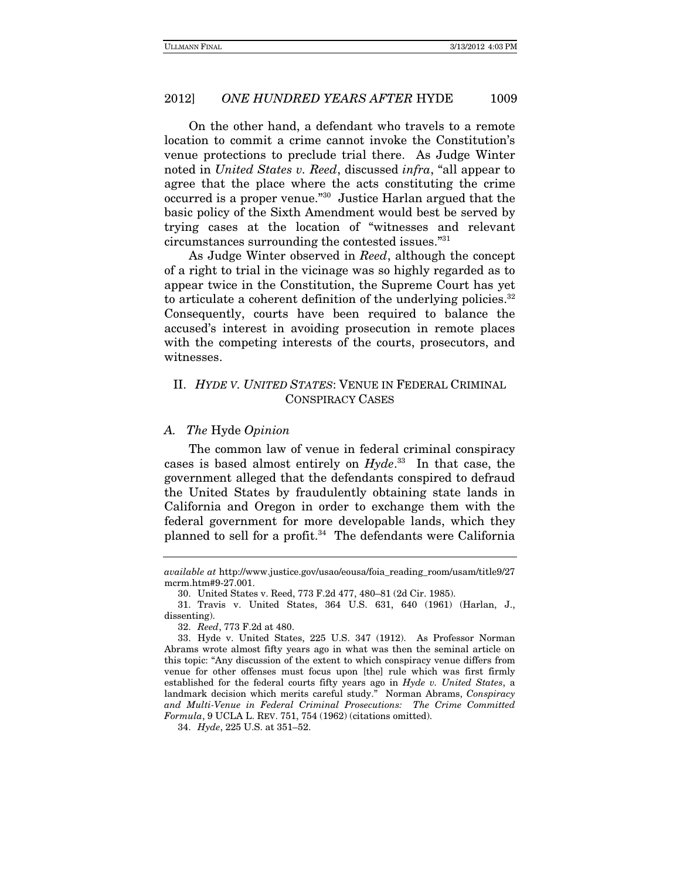On the other hand, a defendant who travels to a remote location to commit a crime cannot invoke the Constitution's venue protections to preclude trial there. As Judge Winter noted in United States v. Reed, discussed infra, "all appear to agree that the place where the acts constituting the crime occurred is a proper venue."30 Justice Harlan argued that the basic policy of the Sixth Amendment would best be served by trying cases at the location of "witnesses and relevant circumstances surrounding the contested issues."31

As Judge Winter observed in Reed, although the concept of a right to trial in the vicinage was so highly regarded as to appear twice in the Constitution, the Supreme Court has yet to articulate a coherent definition of the underlying policies.<sup>32</sup> Consequently, courts have been required to balance the accused's interest in avoiding prosecution in remote places with the competing interests of the courts, prosecutors, and witnesses.

#### II. HYDE V. UNITED STATES: VENUE IN FEDERAL CRIMINAL CONSPIRACY CASES

#### A. The Hyde Opinion

The common law of venue in federal criminal conspiracy cases is based almost entirely on  $Hyde<sup>33</sup>$  In that case, the government alleged that the defendants conspired to defraud the United States by fraudulently obtaining state lands in California and Oregon in order to exchange them with the federal government for more developable lands, which they planned to sell for a profit.<sup>34</sup> The defendants were California

available at http://www.justice.gov/usao/eousa/foia\_reading\_room/usam/title9/27 mcrm.htm#9-27.001.

 <sup>30.</sup> United States v. Reed, 773 F.2d 477, 480–81 (2d Cir. 1985).

 <sup>31.</sup> Travis v. United States, 364 U.S. 631, 640 (1961) (Harlan, J., dissenting).

<sup>32.</sup> Reed, 773 F.2d at 480.

 <sup>33.</sup> Hyde v. United States, 225 U.S. 347 (1912). As Professor Norman Abrams wrote almost fifty years ago in what was then the seminal article on this topic: "Any discussion of the extent to which conspiracy venue differs from venue for other offenses must focus upon [the] rule which was first firmly established for the federal courts fifty years ago in Hyde v. United States, a landmark decision which merits careful study." Norman Abrams, Conspiracy and Multi-Venue in Federal Criminal Prosecutions: The Crime Committed Formula, 9 UCLA L. REV. 751, 754 (1962) (citations omitted).

<sup>34.</sup> Hyde, 225 U.S. at 351–52.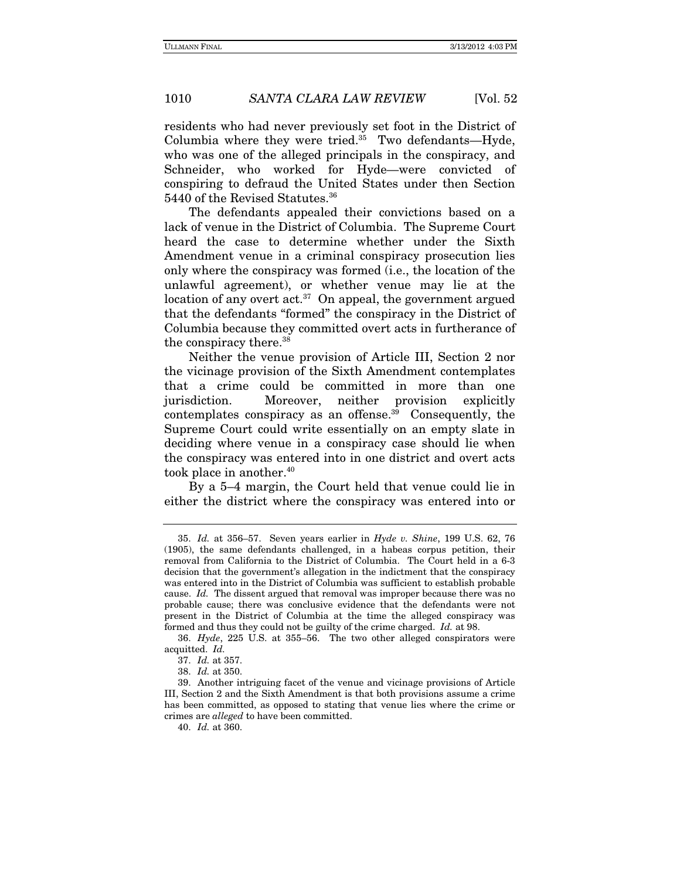residents who had never previously set foot in the District of Columbia where they were tried. $35$  Two defendants—Hyde, who was one of the alleged principals in the conspiracy, and Schneider, who worked for Hyde—were convicted of conspiring to defraud the United States under then Section 5440 of the Revised Statutes.36

The defendants appealed their convictions based on a lack of venue in the District of Columbia. The Supreme Court heard the case to determine whether under the Sixth Amendment venue in a criminal conspiracy prosecution lies only where the conspiracy was formed (i.e., the location of the unlawful agreement), or whether venue may lie at the location of any overt  $act.^{37}$  On appeal, the government argued that the defendants "formed" the conspiracy in the District of Columbia because they committed overt acts in furtherance of the conspiracy there.<sup>38</sup>

 Neither the venue provision of Article III, Section 2 nor the vicinage provision of the Sixth Amendment contemplates that a crime could be committed in more than one jurisdiction. Moreover, neither provision explicitly contemplates conspiracy as an offense.39 Consequently, the Supreme Court could write essentially on an empty slate in deciding where venue in a conspiracy case should lie when the conspiracy was entered into in one district and overt acts took place in another.<sup>40</sup>

By a 5–4 margin, the Court held that venue could lie in either the district where the conspiracy was entered into or

<sup>35.</sup> Id. at 356–57. Seven years earlier in Hyde v. Shine, 199 U.S. 62, 76 (1905), the same defendants challenged, in a habeas corpus petition, their removal from California to the District of Columbia. The Court held in a 6-3 decision that the government's allegation in the indictment that the conspiracy was entered into in the District of Columbia was sufficient to establish probable cause. Id. The dissent argued that removal was improper because there was no probable cause; there was conclusive evidence that the defendants were not present in the District of Columbia at the time the alleged conspiracy was formed and thus they could not be guilty of the crime charged. Id. at 98.

<sup>36.</sup> Hyde, 225 U.S. at 355–56. The two other alleged conspirators were acquitted. Id.

<sup>37.</sup> Id. at 357.

<sup>38.</sup> Id. at 350.

 <sup>39.</sup> Another intriguing facet of the venue and vicinage provisions of Article III, Section 2 and the Sixth Amendment is that both provisions assume a crime has been committed, as opposed to stating that venue lies where the crime or crimes are alleged to have been committed.

<sup>40.</sup> Id. at 360.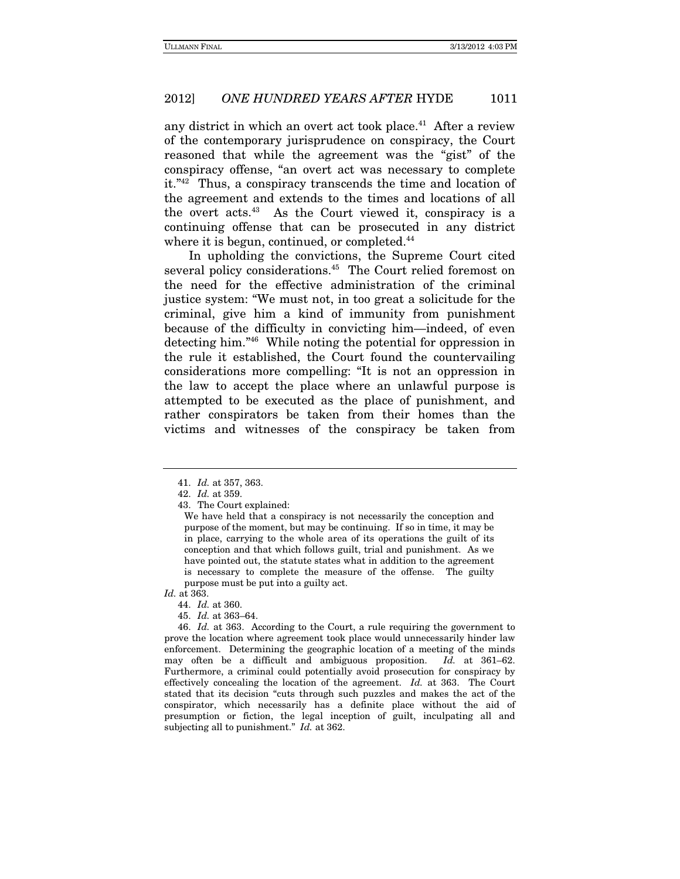any district in which an overt act took place.<sup>41</sup> After a review of the contemporary jurisprudence on conspiracy, the Court reasoned that while the agreement was the "gist" of the conspiracy offense, "an overt act was necessary to complete it."42 Thus, a conspiracy transcends the time and location of the agreement and extends to the times and locations of all the overt  $acts.<sup>43</sup>$  As the Court viewed it, conspiracy is a continuing offense that can be prosecuted in any district where it is begun, continued, or completed.<sup>44</sup>

In upholding the convictions, the Supreme Court cited several policy considerations.<sup>45</sup> The Court relied foremost on the need for the effective administration of the criminal justice system: "We must not, in too great a solicitude for the criminal, give him a kind of immunity from punishment because of the difficulty in convicting him—indeed, of even detecting him."46 While noting the potential for oppression in the rule it established, the Court found the countervailing considerations more compelling: "It is not an oppression in the law to accept the place where an unlawful purpose is attempted to be executed as the place of punishment, and rather conspirators be taken from their homes than the victims and witnesses of the conspiracy be taken from

Id. at 363.

<sup>41.</sup> Id. at 357, 363.

<sup>42.</sup> Id. at 359.

 <sup>43.</sup> The Court explained:

We have held that a conspiracy is not necessarily the conception and purpose of the moment, but may be continuing. If so in time, it may be in place, carrying to the whole area of its operations the guilt of its conception and that which follows guilt, trial and punishment. As we have pointed out, the statute states what in addition to the agreement is necessary to complete the measure of the offense. The guilty purpose must be put into a guilty act.

<sup>44.</sup> Id. at 360.

<sup>45.</sup> Id. at 363–64.

<sup>46.</sup> Id. at 363. According to the Court, a rule requiring the government to prove the location where agreement took place would unnecessarily hinder law enforcement. Determining the geographic location of a meeting of the minds may often be a difficult and ambiguous proposition. Id. at 361–62. Furthermore, a criminal could potentially avoid prosecution for conspiracy by effectively concealing the location of the agreement. Id. at 363. The Court stated that its decision "cuts through such puzzles and makes the act of the conspirator, which necessarily has a definite place without the aid of presumption or fiction, the legal inception of guilt, inculpating all and subjecting all to punishment." Id. at 362.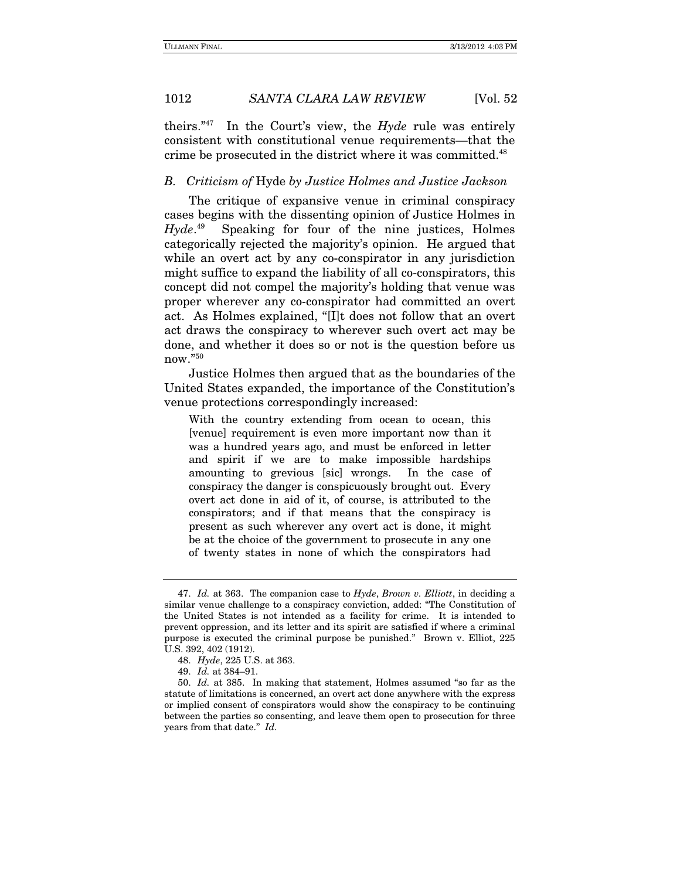theirs." $47$  In the Court's view, the Hyde rule was entirely consistent with constitutional venue requirements—that the crime be prosecuted in the district where it was committed.48

#### B. Criticism of Hyde by Justice Holmes and Justice Jackson

The critique of expansive venue in criminal conspiracy cases begins with the dissenting opinion of Justice Holmes in  $H$ vde. $49$ Speaking for four of the nine justices, Holmes categorically rejected the majority's opinion. He argued that while an overt act by any co-conspirator in any jurisdiction might suffice to expand the liability of all co-conspirators, this concept did not compel the majority's holding that venue was proper wherever any co-conspirator had committed an overt act. As Holmes explained, "[I]t does not follow that an overt act draws the conspiracy to wherever such overt act may be done, and whether it does so or not is the question before us now."50

Justice Holmes then argued that as the boundaries of the United States expanded, the importance of the Constitution's venue protections correspondingly increased:

With the country extending from ocean to ocean, this [venue] requirement is even more important now than it was a hundred years ago, and must be enforced in letter and spirit if we are to make impossible hardships amounting to grevious [sic] wrongs. In the case of conspiracy the danger is conspicuously brought out. Every overt act done in aid of it, of course, is attributed to the conspirators; and if that means that the conspiracy is present as such wherever any overt act is done, it might be at the choice of the government to prosecute in any one of twenty states in none of which the conspirators had

<sup>47.</sup> Id. at 363. The companion case to  $H$ yde, Brown v. Elliott, in deciding a similar venue challenge to a conspiracy conviction, added: "The Constitution of the United States is not intended as a facility for crime. It is intended to prevent oppression, and its letter and its spirit are satisfied if where a criminal purpose is executed the criminal purpose be punished." Brown v. Elliot, 225 U.S. 392, 402 (1912).

<sup>48.</sup> Hyde, 225 U.S. at 363.

<sup>49.</sup> Id. at 384–91.

<sup>50.</sup> Id. at 385. In making that statement, Holmes assumed "so far as the statute of limitations is concerned, an overt act done anywhere with the express or implied consent of conspirators would show the conspiracy to be continuing between the parties so consenting, and leave them open to prosecution for three years from that date." Id.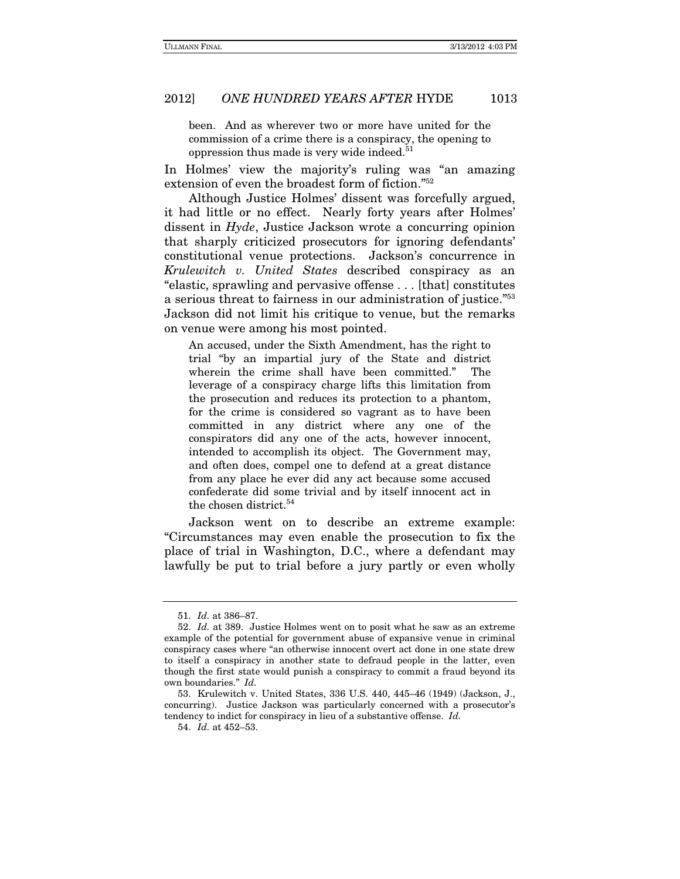been. And as wherever two or more have united for the commission of a crime there is a conspiracy, the opening to oppression thus made is very wide indeed.<sup>51</sup>

In Holmes' view the majority's ruling was "an amazing extension of even the broadest form of fiction."52

Although Justice Holmes' dissent was forcefully argued, it had little or no effect. Nearly forty years after Holmes' dissent in Hyde, Justice Jackson wrote a concurring opinion that sharply criticized prosecutors for ignoring defendants' constitutional venue protections. Jackson's concurrence in Krulewitch v. United States described conspiracy as an "elastic, sprawling and pervasive offense . . . [that] constitutes a serious threat to fairness in our administration of justice."53 Jackson did not limit his critique to venue, but the remarks on venue were among his most pointed.

An accused, under the Sixth Amendment, has the right to trial "by an impartial jury of the State and district wherein the crime shall have been committed." The leverage of a conspiracy charge lifts this limitation from the prosecution and reduces its protection to a phantom, for the crime is considered so vagrant as to have been committed in any district where any one of the conspirators did any one of the acts, however innocent, intended to accomplish its object. The Government may, and often does, compel one to defend at a great distance from any place he ever did any act because some accused confederate did some trivial and by itself innocent act in the chosen district.<sup>54</sup>

Jackson went on to describe an extreme example: "Circumstances may even enable the prosecution to fix the place of trial in Washington, D.C., where a defendant may lawfully be put to trial before a jury partly or even wholly

<sup>51.</sup> Id. at 386–87.

<sup>52.</sup> Id. at 389. Justice Holmes went on to posit what he saw as an extreme example of the potential for government abuse of expansive venue in criminal conspiracy cases where "an otherwise innocent overt act done in one state drew to itself a conspiracy in another state to defraud people in the latter, even though the first state would punish a conspiracy to commit a fraud beyond its own boundaries." Id.

 <sup>53.</sup> Krulewitch v. United States, 336 U.S. 440, 445–46 (1949) (Jackson, J., concurring). Justice Jackson was particularly concerned with a prosecutor's tendency to indict for conspiracy in lieu of a substantive offense. Id.

<sup>54.</sup> Id. at 452–53.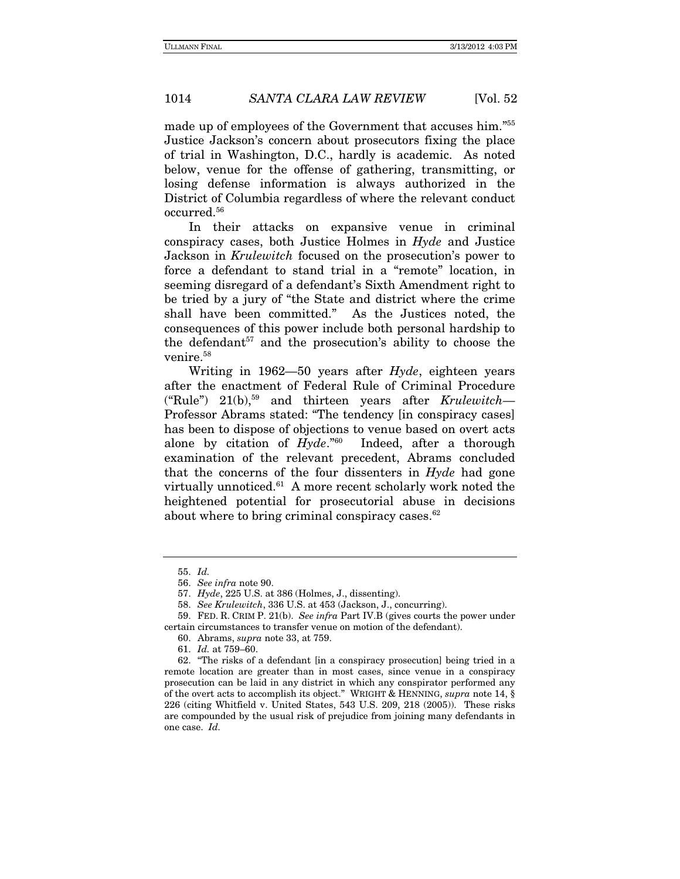made up of employees of the Government that accuses him."55 Justice Jackson's concern about prosecutors fixing the place of trial in Washington, D.C., hardly is academic. As noted below, venue for the offense of gathering, transmitting, or losing defense information is always authorized in the District of Columbia regardless of where the relevant conduct occurred.56

In their attacks on expansive venue in criminal conspiracy cases, both Justice Holmes in Hyde and Justice Jackson in Krulewitch focused on the prosecution's power to force a defendant to stand trial in a "remote" location, in seeming disregard of a defendant's Sixth Amendment right to be tried by a jury of "the State and district where the crime shall have been committed." As the Justices noted, the consequences of this power include both personal hardship to the defendant $57$  and the prosecution's ability to choose the venire.<sup>58</sup>

Writing in  $1962-50$  years after  $Hyde$ , eighteen years after the enactment of Federal Rule of Criminal Procedure ("Rule")  $21(b)$ ,<sup>59</sup> and thirteen years after Krulewitch— Professor Abrams stated: "The tendency [in conspiracy cases] has been to dispose of objections to venue based on overt acts alone by citation of  $Hyde.^{60}$  Indeed, after a thorough examination of the relevant precedent, Abrams concluded that the concerns of the four dissenters in Hyde had gone virtually unnoticed.<sup>61</sup> A more recent scholarly work noted the heightened potential for prosecutorial abuse in decisions about where to bring criminal conspiracy cases.<sup>62</sup>

<sup>55.</sup> Id.

<sup>56.</sup> See infra note 90.

<sup>57.</sup> Hyde, 225 U.S. at 386 (Holmes, J., dissenting).

<sup>58.</sup> See Krulewitch, 336 U.S. at 453 (Jackson, J., concurring).

 <sup>59.</sup> FED. R. CRIM P. 21(b). See infra Part IV.B (gives courts the power under certain circumstances to transfer venue on motion of the defendant).

 <sup>60.</sup> Abrams, supra note 33, at 759.

 <sup>61.</sup> Id. at 759–60.

 <sup>62. &</sup>quot;The risks of a defendant [in a conspiracy prosecution] being tried in a remote location are greater than in most cases, since venue in a conspiracy prosecution can be laid in any district in which any conspirator performed any of the overt acts to accomplish its object." WRIGHT & HENNING, supra note 14, § 226 (citing Whitfield v. United States, 543 U.S. 209, 218 (2005)). These risks are compounded by the usual risk of prejudice from joining many defendants in one case. Id.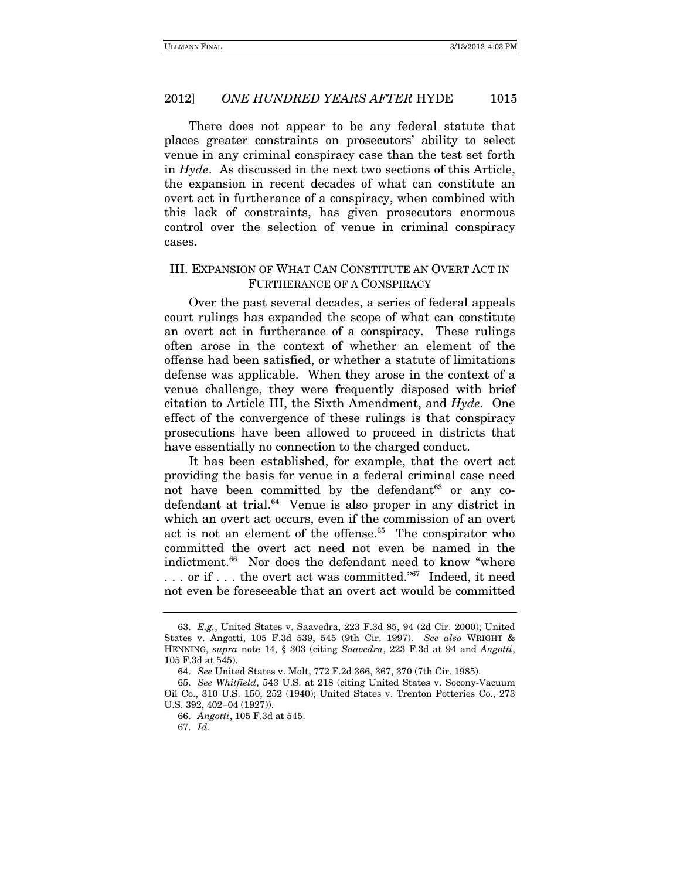There does not appear to be any federal statute that places greater constraints on prosecutors' ability to select venue in any criminal conspiracy case than the test set forth in Hyde. As discussed in the next two sections of this Article, the expansion in recent decades of what can constitute an overt act in furtherance of a conspiracy, when combined with this lack of constraints, has given prosecutors enormous control over the selection of venue in criminal conspiracy cases.

#### III. EXPANSION OF WHAT CAN CONSTITUTE AN OVERT ACT IN FURTHERANCE OF A CONSPIRACY

Over the past several decades, a series of federal appeals court rulings has expanded the scope of what can constitute an overt act in furtherance of a conspiracy. These rulings often arose in the context of whether an element of the offense had been satisfied, or whether a statute of limitations defense was applicable. When they arose in the context of a venue challenge, they were frequently disposed with brief citation to Article III, the Sixth Amendment, and Hyde. One effect of the convergence of these rulings is that conspiracy prosecutions have been allowed to proceed in districts that have essentially no connection to the charged conduct.

It has been established, for example, that the overt act providing the basis for venue in a federal criminal case need not have been committed by the defendant  $63$  or any codefendant at trial.64 Venue is also proper in any district in which an overt act occurs, even if the commission of an overt act is not an element of the offense.<sup>65</sup> The conspirator who committed the overt act need not even be named in the indictment.<sup>66</sup> Nor does the defendant need to know "where . . . or if . . . the overt act was committed."67 Indeed, it need not even be foreseeable that an overt act would be committed

<sup>63.</sup> E.g., United States v. Saavedra, 223 F.3d 85, 94 (2d Cir. 2000); United States v. Angotti, 105 F.3d 539, 545 (9th Cir. 1997). See also WRIGHT & HENNING, supra note 14, § 303 (citing Saavedra, 223 F.3d at 94 and Angotti, 105 F.3d at 545).

<sup>64.</sup> See United States v. Molt, 772 F.2d 366, 367, 370 (7th Cir. 1985).

<sup>65.</sup> See Whitfield, 543 U.S. at 218 (citing United States v. Socony-Vacuum Oil Co., 310 U.S. 150, 252 (1940); United States v. Trenton Potteries Co., 273 U.S. 392, 402–04 (1927)).

<sup>66.</sup> Angotti, 105 F.3d at 545.

<sup>67.</sup> Id.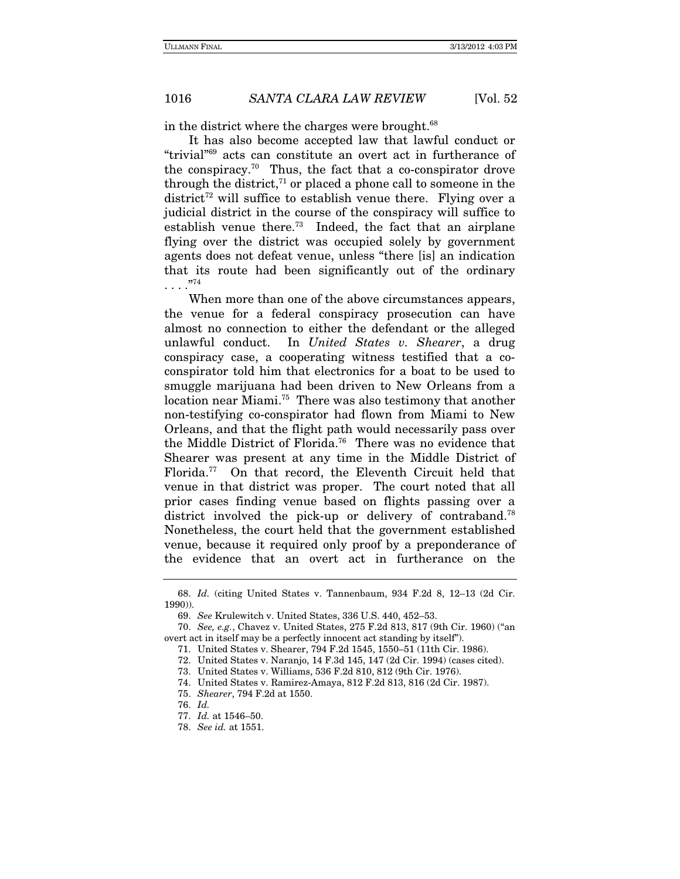in the district where the charges were brought.<sup>68</sup>

It has also become accepted law that lawful conduct or "trivial"69 acts can constitute an overt act in furtherance of the conspiracy.<sup>70</sup> Thus, the fact that a co-conspirator drove through the district,<sup> $71$ </sup> or placed a phone call to someone in the district<sup>72</sup> will suffice to establish venue there. Flying over a judicial district in the course of the conspiracy will suffice to establish venue there.<sup>73</sup> Indeed, the fact that an airplane flying over the district was occupied solely by government agents does not defeat venue, unless "there [is] an indication that its route had been significantly out of the ordinary  $\ldots$ .  $^{.774}$ 

When more than one of the above circumstances appears, the venue for a federal conspiracy prosecution can have almost no connection to either the defendant or the alleged unlawful conduct. In United States v. Shearer, a drug conspiracy case, a cooperating witness testified that a coconspirator told him that electronics for a boat to be used to smuggle marijuana had been driven to New Orleans from a location near Miami.<sup>75</sup> There was also testimony that another non-testifying co-conspirator had flown from Miami to New Orleans, and that the flight path would necessarily pass over the Middle District of Florida.76 There was no evidence that Shearer was present at any time in the Middle District of Florida.77 On that record, the Eleventh Circuit held that venue in that district was proper. The court noted that all prior cases finding venue based on flights passing over a district involved the pick-up or delivery of contraband.<sup>78</sup> Nonetheless, the court held that the government established venue, because it required only proof by a preponderance of the evidence that an overt act in furtherance on the

<sup>68.</sup> Id. (citing United States v. Tannenbaum, 934 F.2d 8, 12–13 (2d Cir. 1990)).

<sup>69.</sup> See Krulewitch v. United States, 336 U.S. 440, 452–53.

<sup>70.</sup> See, e.g., Chavez v. United States, 275 F.2d 813, 817 (9th Cir. 1960) ("an overt act in itself may be a perfectly innocent act standing by itself").

 <sup>71.</sup> United States v. Shearer, 794 F.2d 1545, 1550–51 (11th Cir. 1986).

 <sup>72.</sup> United States v. Naranjo, 14 F.3d 145, 147 (2d Cir. 1994) (cases cited).

 <sup>73.</sup> United States v. Williams, 536 F.2d 810, 812 (9th Cir. 1976).

 <sup>74.</sup> United States v. Ramirez-Amaya, 812 F.2d 813, 816 (2d Cir. 1987).

 <sup>75.</sup> Shearer, 794 F.2d at 1550.

<sup>76.</sup> Id.

<sup>77.</sup> Id. at 1546–50.

<sup>78.</sup> See id. at 1551.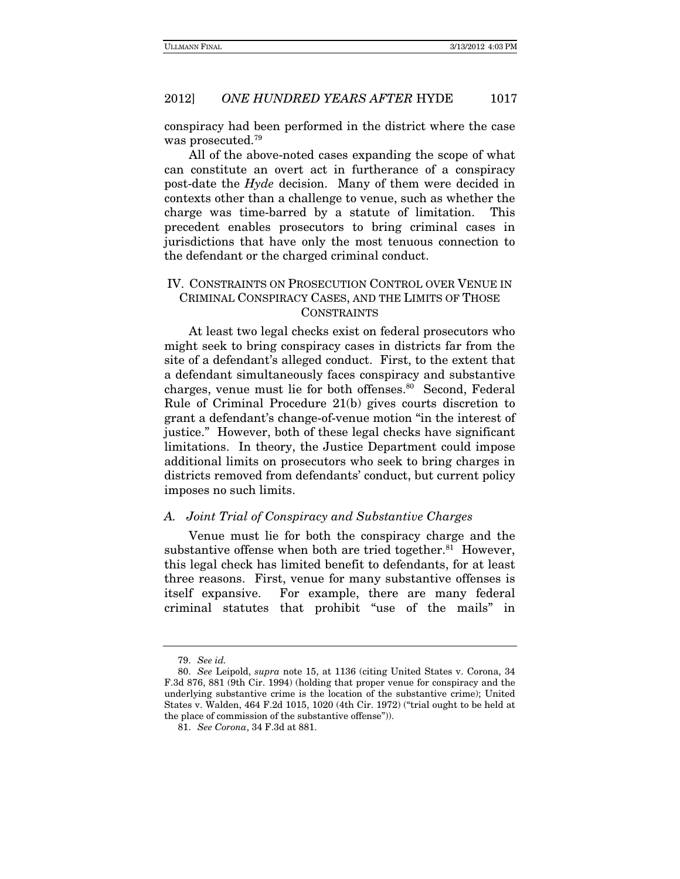conspiracy had been performed in the district where the case was prosecuted.79

All of the above-noted cases expanding the scope of what can constitute an overt act in furtherance of a conspiracy post-date the Hyde decision. Many of them were decided in contexts other than a challenge to venue, such as whether the charge was time-barred by a statute of limitation. This precedent enables prosecutors to bring criminal cases in jurisdictions that have only the most tenuous connection to the defendant or the charged criminal conduct.

#### IV. CONSTRAINTS ON PROSECUTION CONTROL OVER VENUE IN CRIMINAL CONSPIRACY CASES, AND THE LIMITS OF THOSE CONSTRAINTS

At least two legal checks exist on federal prosecutors who might seek to bring conspiracy cases in districts far from the site of a defendant's alleged conduct. First, to the extent that a defendant simultaneously faces conspiracy and substantive charges, venue must lie for both offenses.80 Second, Federal Rule of Criminal Procedure 21(b) gives courts discretion to grant a defendant's change-of-venue motion "in the interest of justice." However, both of these legal checks have significant limitations. In theory, the Justice Department could impose additional limits on prosecutors who seek to bring charges in districts removed from defendants' conduct, but current policy imposes no such limits.

#### A. Joint Trial of Conspiracy and Substantive Charges

Venue must lie for both the conspiracy charge and the substantive offense when both are tried together. $81$  However, this legal check has limited benefit to defendants, for at least three reasons. First, venue for many substantive offenses is itself expansive. For example, there are many federal criminal statutes that prohibit "use of the mails" in

<sup>79.</sup> See id.

<sup>80.</sup> See Leipold, supra note 15, at 1136 (citing United States v. Corona, 34 F.3d 876, 881 (9th Cir. 1994) (holding that proper venue for conspiracy and the underlying substantive crime is the location of the substantive crime); United States v. Walden, 464 F.2d 1015, 1020 (4th Cir. 1972) ("trial ought to be held at the place of commission of the substantive offense")).

<sup>81.</sup> See Corona, 34 F.3d at 881.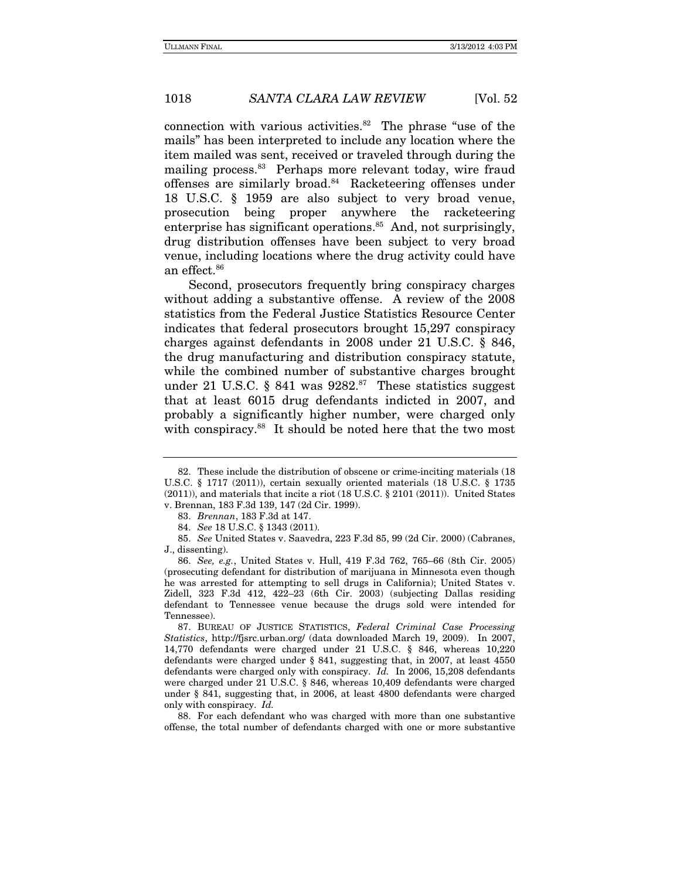connection with various activities. $82$  The phrase "use of the mails" has been interpreted to include any location where the item mailed was sent, received or traveled through during the mailing process.<sup>83</sup> Perhaps more relevant today, wire fraud offenses are similarly broad.84 Racketeering offenses under 18 U.S.C. § 1959 are also subject to very broad venue, prosecution being proper anywhere the racketeering enterprise has significant operations. $85$  And, not surprisingly, drug distribution offenses have been subject to very broad venue, including locations where the drug activity could have an effect.86

Second, prosecutors frequently bring conspiracy charges without adding a substantive offense. A review of the 2008 statistics from the Federal Justice Statistics Resource Center indicates that federal prosecutors brought 15,297 conspiracy charges against defendants in 2008 under 21 U.S.C. § 846, the drug manufacturing and distribution conspiracy statute, while the combined number of substantive charges brought under 21 U.S.C. § 841 was  $9282$ .<sup>87</sup> These statistics suggest that at least 6015 drug defendants indicted in 2007, and probably a significantly higher number, were charged only with conspiracy.<sup>88</sup> It should be noted here that the two most

85. See United States v. Saavedra, 223 F.3d 85, 99 (2d Cir. 2000) (Cabranes, J., dissenting).

86. See, e.g., United States v. Hull, 419 F.3d 762, 765–66 (8th Cir. 2005) (prosecuting defendant for distribution of marijuana in Minnesota even though he was arrested for attempting to sell drugs in California); United States v. Zidell, 323 F.3d 412, 422–23 (6th Cir. 2003) (subjecting Dallas residing defendant to Tennessee venue because the drugs sold were intended for Tennessee).

 87. BUREAU OF JUSTICE STATISTICS, Federal Criminal Case Processing Statistics, http://fjsrc.urban.org/ (data downloaded March 19, 2009). In 2007, 14,770 defendants were charged under 21 U.S.C. § 846, whereas 10,220 defendants were charged under § 841, suggesting that, in 2007, at least 4550 defendants were charged only with conspiracy. Id. In 2006, 15,208 defendants were charged under 21 U.S.C. § 846, whereas 10,409 defendants were charged under § 841, suggesting that, in 2006, at least 4800 defendants were charged only with conspiracy. Id.

 88. For each defendant who was charged with more than one substantive offense, the total number of defendants charged with one or more substantive

 <sup>82.</sup> These include the distribution of obscene or crime-inciting materials (18 U.S.C. § 1717 (2011)), certain sexually oriented materials (18 U.S.C. § 1735 (2011)), and materials that incite a riot (18 U.S.C. § 2101 (2011)). United States v. Brennan, 183 F.3d 139, 147 (2d Cir. 1999).

<sup>83.</sup> Brennan, 183 F.3d at 147.

<sup>84.</sup> See 18 U.S.C. § 1343 (2011).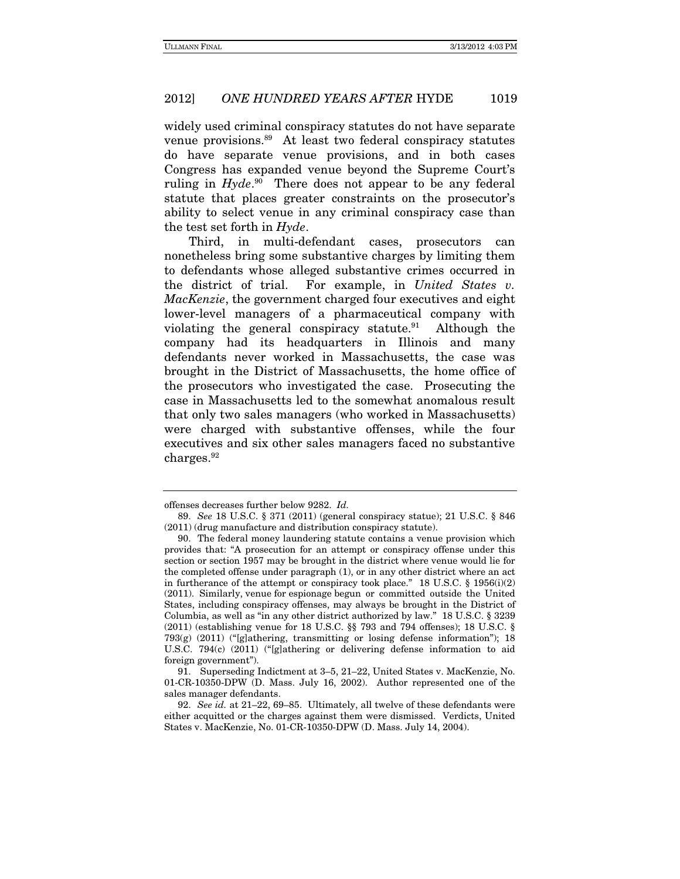widely used criminal conspiracy statutes do not have separate venue provisions.<sup>89</sup> At least two federal conspiracy statutes do have separate venue provisions, and in both cases Congress has expanded venue beyond the Supreme Court's ruling in  $Hyde.^{90}$  There does not appear to be any federal statute that places greater constraints on the prosecutor's ability to select venue in any criminal conspiracy case than the test set forth in Hyde.

Third, in multi-defendant cases, prosecutors can nonetheless bring some substantive charges by limiting them to defendants whose alleged substantive crimes occurred in the district of trial. For example, in United States v. MacKenzie, the government charged four executives and eight lower-level managers of a pharmaceutical company with violating the general conspiracy statute.<sup>91</sup> Although the company had its headquarters in Illinois and many defendants never worked in Massachusetts, the case was brought in the District of Massachusetts, the home office of the prosecutors who investigated the case. Prosecuting the case in Massachusetts led to the somewhat anomalous result that only two sales managers (who worked in Massachusetts) were charged with substantive offenses, while the four executives and six other sales managers faced no substantive charges.92

offenses decreases further below 9282. Id.

<sup>89.</sup> See 18 U.S.C. § 371 (2011) (general conspiracy statue); 21 U.S.C. § 846 (2011) (drug manufacture and distribution conspiracy statute).

 <sup>90.</sup> The federal money laundering statute contains a venue provision which provides that: "A prosecution for an attempt or conspiracy offense under this section or section 1957 may be brought in the district where venue would lie for the completed offense under paragraph (1), or in any other district where an act in furtherance of the attempt or conspiracy took place." 18 U.S.C.  $\S$  1956(i)(2) (2011). Similarly, venue for espionage begun or committed outside the United States, including conspiracy offenses, may always be brought in the District of Columbia, as well as "in any other district authorized by law." 18 U.S.C. § 3239 (2011) (establishing venue for 18 U.S.C. §§ 793 and 794 offenses); 18 U.S.C. § 793 $(g)$  (2011) ("[g]athering, transmitting or losing defense information"); 18 U.S.C. 794(c) (2011) ("[g]athering or delivering defense information to aid foreign government").

 <sup>91.</sup> Superseding Indictment at 3–5, 21–22, United States v. MacKenzie, No. 01-CR-10350-DPW (D. Mass. July 16, 2002). Author represented one of the sales manager defendants.

<sup>92.</sup> See id. at 21–22, 69–85. Ultimately, all twelve of these defendants were either acquitted or the charges against them were dismissed. Verdicts, United States v. MacKenzie, No. 01-CR-10350-DPW (D. Mass. July 14, 2004).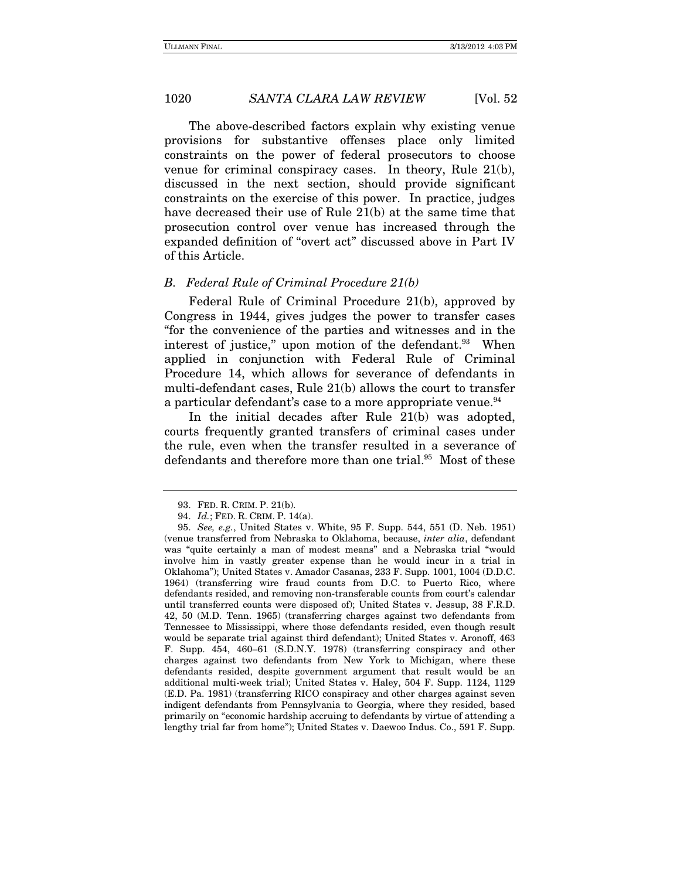The above-described factors explain why existing venue provisions for substantive offenses place only limited constraints on the power of federal prosecutors to choose venue for criminal conspiracy cases. In theory, Rule 21(b), discussed in the next section, should provide significant constraints on the exercise of this power. In practice, judges have decreased their use of Rule 21(b) at the same time that prosecution control over venue has increased through the expanded definition of "overt act" discussed above in Part IV of this Article.

#### B. Federal Rule of Criminal Procedure 21(b)

Federal Rule of Criminal Procedure 21(b), approved by Congress in 1944, gives judges the power to transfer cases "for the convenience of the parties and witnesses and in the interest of justice," upon motion of the defendant.<sup>93</sup> When applied in conjunction with Federal Rule of Criminal Procedure 14, which allows for severance of defendants in multi-defendant cases, Rule 21(b) allows the court to transfer a particular defendant's case to a more appropriate venue.<sup>94</sup>

In the initial decades after Rule 21(b) was adopted, courts frequently granted transfers of criminal cases under the rule, even when the transfer resulted in a severance of defendants and therefore more than one trial.<sup>95</sup> Most of these

 <sup>93.</sup> FED. R. CRIM. P. 21(b).

 <sup>94.</sup> Id.; FED. R. CRIM. P. 14(a).

<sup>95.</sup> See, e.g., United States v. White, 95 F. Supp. 544, 551 (D. Neb. 1951) (venue transferred from Nebraska to Oklahoma, because, inter alia, defendant was "quite certainly a man of modest means" and a Nebraska trial "would involve him in vastly greater expense than he would incur in a trial in Oklahoma"); United States v. Amador Casanas, 233 F. Supp. 1001, 1004 (D.D.C. 1964) (transferring wire fraud counts from D.C. to Puerto Rico, where defendants resided, and removing non-transferable counts from court's calendar until transferred counts were disposed of); United States v. Jessup, 38 F.R.D. 42, 50 (M.D. Tenn. 1965) (transferring charges against two defendants from Tennessee to Mississippi, where those defendants resided, even though result would be separate trial against third defendant); United States v. Aronoff, 463 F. Supp. 454, 460–61 (S.D.N.Y. 1978) (transferring conspiracy and other charges against two defendants from New York to Michigan, where these defendants resided, despite government argument that result would be an additional multi-week trial); United States v. Haley, 504 F. Supp. 1124, 1129 (E.D. Pa. 1981) (transferring RICO conspiracy and other charges against seven indigent defendants from Pennsylvania to Georgia, where they resided, based primarily on "economic hardship accruing to defendants by virtue of attending a lengthy trial far from home"); United States v. Daewoo Indus. Co., 591 F. Supp.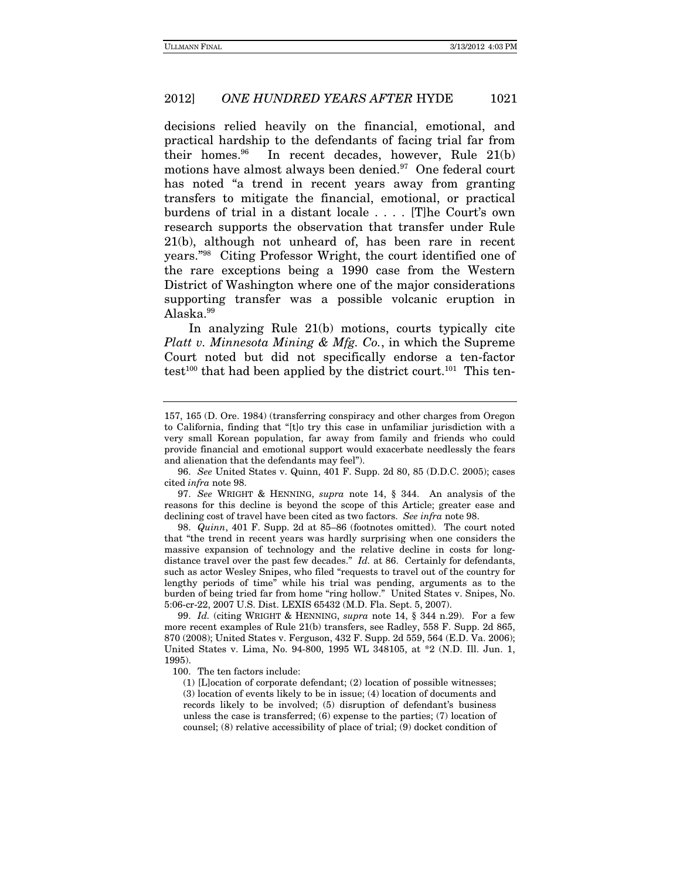decisions relied heavily on the financial, emotional, and practical hardship to the defendants of facing trial far from their homes.<sup>96</sup> In recent decades, however, Rule  $21(b)$ motions have almost always been denied.<sup>97</sup> One federal court has noted "a trend in recent years away from granting transfers to mitigate the financial, emotional, or practical burdens of trial in a distant locale . . . . [T]he Court's own research supports the observation that transfer under Rule 21(b), although not unheard of, has been rare in recent years."98 Citing Professor Wright, the court identified one of the rare exceptions being a 1990 case from the Western District of Washington where one of the major considerations supporting transfer was a possible volcanic eruption in Alaska.99

In analyzing Rule 21(b) motions, courts typically cite Platt v. Minnesota Mining & Mfg. Co., in which the Supreme Court noted but did not specifically endorse a ten-factor test<sup>100</sup> that had been applied by the district court.<sup>101</sup> This ten-

97. See WRIGHT & HENNING, supra note 14, § 344. An analysis of the reasons for this decline is beyond the scope of this Article; greater ease and declining cost of travel have been cited as two factors. See infra note 98.

98. Quinn, 401 F. Supp. 2d at 85–86 (footnotes omitted). The court noted that "the trend in recent years was hardly surprising when one considers the massive expansion of technology and the relative decline in costs for longdistance travel over the past few decades." Id. at 86. Certainly for defendants, such as actor Wesley Snipes, who filed "requests to travel out of the country for lengthy periods of time" while his trial was pending, arguments as to the burden of being tried far from home "ring hollow." United States v. Snipes, No. 5:06-cr-22, 2007 U.S. Dist. LEXIS 65432 (M.D. Fla. Sept. 5, 2007).

99. Id. (citing WRIGHT & HENNING, supra note 14, § 344 n.29). For a few more recent examples of Rule 21(b) transfers, see Radley, 558 F. Supp. 2d 865, 870 (2008); United States v. Ferguson, 432 F. Supp. 2d 559, 564 (E.D. Va. 2006); United States v. Lima, No. 94-800, 1995 WL 348105, at \*2 (N.D. Ill. Jun. 1, 1995).

<sup>157, 165 (</sup>D. Ore. 1984) (transferring conspiracy and other charges from Oregon to California, finding that "[t]o try this case in unfamiliar jurisdiction with a very small Korean population, far away from family and friends who could provide financial and emotional support would exacerbate needlessly the fears and alienation that the defendants may feel").

<sup>96.</sup> See United States v. Quinn, 401 F. Supp. 2d 80, 85 (D.D.C. 2005); cases cited infra note 98.

 <sup>100.</sup> The ten factors include:

<sup>(1) [</sup>L]ocation of corporate defendant; (2) location of possible witnesses; (3) location of events likely to be in issue; (4) location of documents and records likely to be involved; (5) disruption of defendant's business unless the case is transferred;  $(6)$  expense to the parties;  $(7)$  location of counsel; (8) relative accessibility of place of trial; (9) docket condition of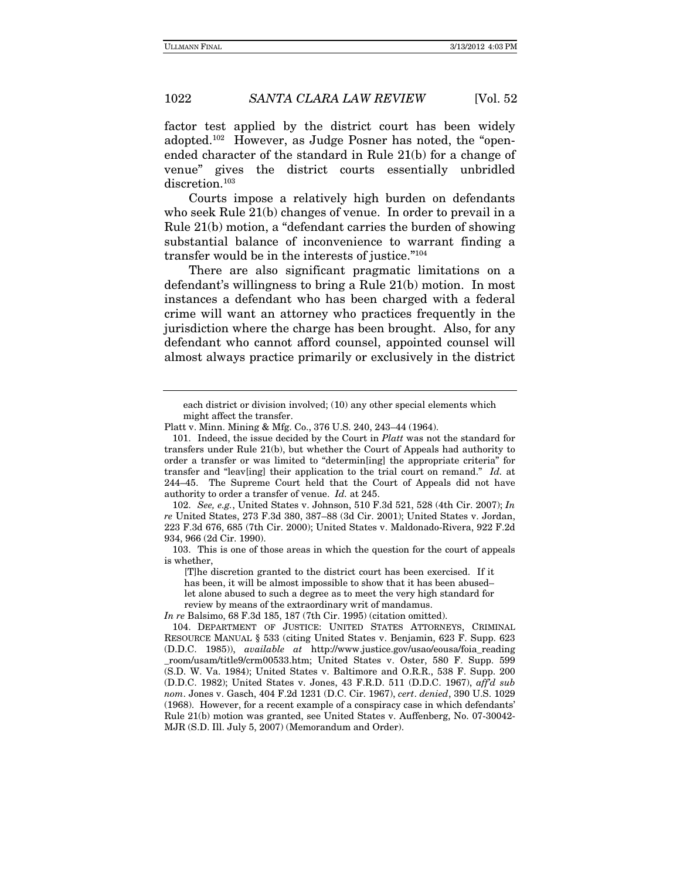factor test applied by the district court has been widely adopted.102 However, as Judge Posner has noted, the "openended character of the standard in Rule 21(b) for a change of venue" gives the district courts essentially unbridled discretion.<sup>103</sup>

Courts impose a relatively high burden on defendants who seek Rule 21(b) changes of venue. In order to prevail in a Rule 21(b) motion, a "defendant carries the burden of showing substantial balance of inconvenience to warrant finding a transfer would be in the interests of justice."104

There are also significant pragmatic limitations on a defendant's willingness to bring a Rule 21(b) motion. In most instances a defendant who has been charged with a federal crime will want an attorney who practices frequently in the jurisdiction where the charge has been brought. Also, for any defendant who cannot afford counsel, appointed counsel will almost always practice primarily or exclusively in the district

102. See, e.g., United States v. Johnson, 510 F.3d 521, 528 (4th Cir. 2007); In re United States, 273 F.3d 380, 387–88 (3d Cir. 2001); United States v. Jordan, 223 F.3d 676, 685 (7th Cir. 2000); United States v. Maldonado-Rivera, 922 F.2d 934, 966 (2d Cir. 1990).

[T]he discretion granted to the district court has been exercised. If it has been, it will be almost impossible to show that it has been abused– let alone abused to such a degree as to meet the very high standard for review by means of the extraordinary writ of mandamus.

In re Balsimo, 68 F.3d 185, 187 (7th Cir. 1995) (citation omitted).

each district or division involved; (10) any other special elements which might affect the transfer.

Platt v. Minn. Mining & Mfg. Co., 376 U.S. 240, 243–44 (1964).

<sup>101.</sup> Indeed, the issue decided by the Court in *Platt* was not the standard for transfers under Rule 21(b), but whether the Court of Appeals had authority to order a transfer or was limited to "determin[ing] the appropriate criteria" for transfer and "leav[ing] their application to the trial court on remand." Id. at 244–45. The Supreme Court held that the Court of Appeals did not have authority to order a transfer of venue. Id. at 245.

 <sup>103.</sup> This is one of those areas in which the question for the court of appeals is whether,

 <sup>104.</sup> DEPARTMENT OF JUSTICE: UNITED STATES ATTORNEYS, CRIMINAL RESOURCE MANUAL § 533 (citing United States v. Benjamin, 623 F. Supp. 623 (D.D.C. 1985)), available at http://www.justice.gov/usao/eousa/foia\_reading \_room/usam/title9/crm00533.htm; United States v. Oster, 580 F. Supp. 599 (S.D. W. Va. 1984); United States v. Baltimore and O.R.R., 538 F. Supp. 200 (D.D.C. 1982); United States v. Jones, 43 F.R.D. 511 (D.D.C. 1967), aff'd sub nom. Jones v. Gasch, 404 F.2d 1231 (D.C. Cir. 1967), cert. denied, 390 U.S. 1029 (1968). However, for a recent example of a conspiracy case in which defendants' Rule 21(b) motion was granted, see United States v. Auffenberg, No. 07-30042- MJR (S.D. Ill. July 5, 2007) (Memorandum and Order).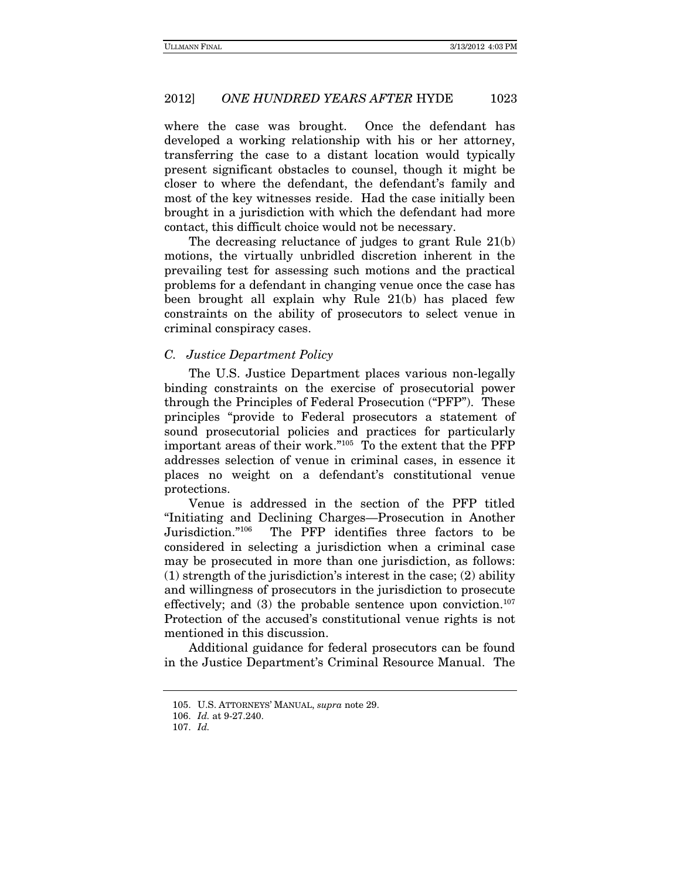where the case was brought. Once the defendant has developed a working relationship with his or her attorney, transferring the case to a distant location would typically present significant obstacles to counsel, though it might be closer to where the defendant, the defendant's family and most of the key witnesses reside. Had the case initially been brought in a jurisdiction with which the defendant had more contact, this difficult choice would not be necessary.

The decreasing reluctance of judges to grant Rule 21(b) motions, the virtually unbridled discretion inherent in the prevailing test for assessing such motions and the practical problems for a defendant in changing venue once the case has been brought all explain why Rule 21(b) has placed few constraints on the ability of prosecutors to select venue in criminal conspiracy cases.

#### C. Justice Department Policy

The U.S. Justice Department places various non-legally binding constraints on the exercise of prosecutorial power through the Principles of Federal Prosecution ("PFP"). These principles "provide to Federal prosecutors a statement of sound prosecutorial policies and practices for particularly important areas of their work."105 To the extent that the PFP addresses selection of venue in criminal cases, in essence it places no weight on a defendant's constitutional venue protections.

Venue is addressed in the section of the PFP titled "Initiating and Declining Charges—Prosecution in Another Jurisdiction."106 The PFP identifies three factors to be considered in selecting a jurisdiction when a criminal case may be prosecuted in more than one jurisdiction, as follows: (1) strength of the jurisdiction's interest in the case; (2) ability and willingness of prosecutors in the jurisdiction to prosecute effectively; and  $(3)$  the probable sentence upon conviction.<sup>107</sup> Protection of the accused's constitutional venue rights is not mentioned in this discussion.

Additional guidance for federal prosecutors can be found in the Justice Department's Criminal Resource Manual. The

 <sup>105.</sup> U.S. ATTORNEYS' MANUAL, supra note 29.

<sup>106.</sup> Id. at 9-27.240.

<sup>107.</sup> Id.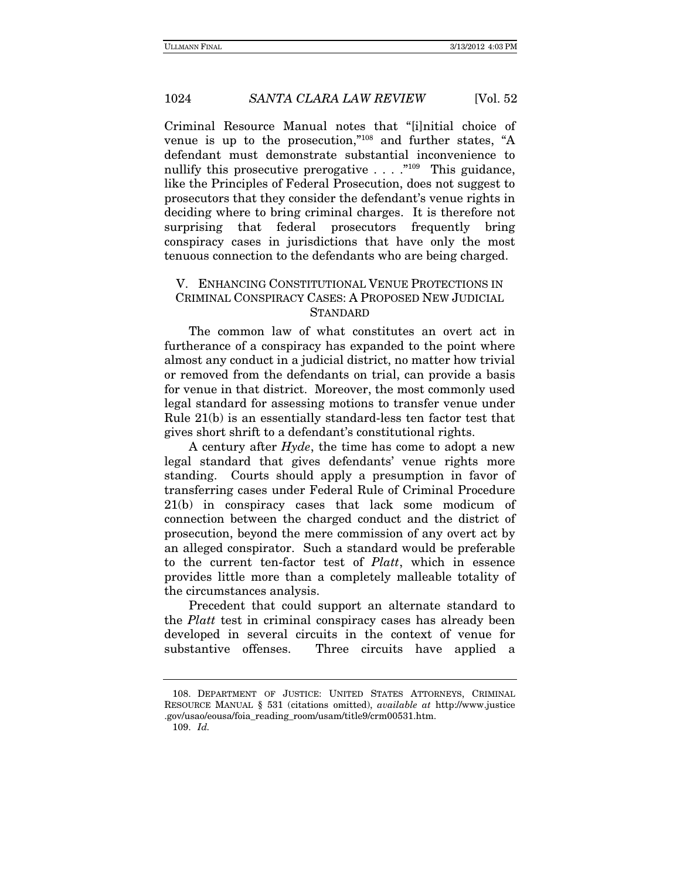Criminal Resource Manual notes that "[i]nitial choice of venue is up to the prosecution,"108 and further states, "A defendant must demonstrate substantial inconvenience to nullify this prosecutive prerogative  $\dots$  ."<sup>109</sup> This guidance, like the Principles of Federal Prosecution, does not suggest to prosecutors that they consider the defendant's venue rights in deciding where to bring criminal charges. It is therefore not surprising that federal prosecutors frequently bring conspiracy cases in jurisdictions that have only the most tenuous connection to the defendants who are being charged.

#### V. ENHANCING CONSTITUTIONAL VENUE PROTECTIONS IN CRIMINAL CONSPIRACY CASES: A PROPOSED NEW JUDICIAL **STANDARD**

The common law of what constitutes an overt act in furtherance of a conspiracy has expanded to the point where almost any conduct in a judicial district, no matter how trivial or removed from the defendants on trial, can provide a basis for venue in that district. Moreover, the most commonly used legal standard for assessing motions to transfer venue under Rule 21(b) is an essentially standard-less ten factor test that gives short shrift to a defendant's constitutional rights.

A century after Hyde, the time has come to adopt a new legal standard that gives defendants' venue rights more standing. Courts should apply a presumption in favor of transferring cases under Federal Rule of Criminal Procedure 21(b) in conspiracy cases that lack some modicum of connection between the charged conduct and the district of prosecution, beyond the mere commission of any overt act by an alleged conspirator. Such a standard would be preferable to the current ten-factor test of Platt, which in essence provides little more than a completely malleable totality of the circumstances analysis.

Precedent that could support an alternate standard to the Platt test in criminal conspiracy cases has already been developed in several circuits in the context of venue for substantive offenses. Three circuits have applied a

 <sup>108.</sup> DEPARTMENT OF JUSTICE: UNITED STATES ATTORNEYS, CRIMINAL RESOURCE MANUAL § 531 (citations omitted), available at http://www.justice .gov/usao/eousa/foia\_reading\_room/usam/title9/crm00531.htm.

<sup>109.</sup> Id.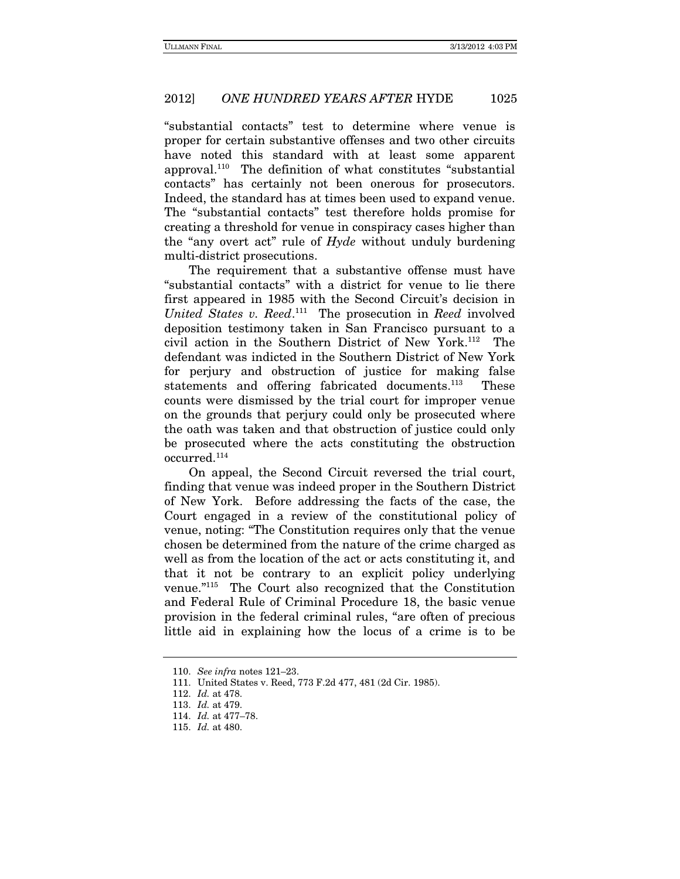"substantial contacts" test to determine where venue is proper for certain substantive offenses and two other circuits have noted this standard with at least some apparent approval.110 The definition of what constitutes "substantial contacts" has certainly not been onerous for prosecutors. Indeed, the standard has at times been used to expand venue. The "substantial contacts" test therefore holds promise for creating a threshold for venue in conspiracy cases higher than the "any overt act" rule of Hyde without unduly burdening multi-district prosecutions.

The requirement that a substantive offense must have "substantial contacts" with a district for venue to lie there first appeared in 1985 with the Second Circuit's decision in United States v. Reed.<sup>111</sup> The prosecution in Reed involved deposition testimony taken in San Francisco pursuant to a civil action in the Southern District of New York.112 The defendant was indicted in the Southern District of New York for perjury and obstruction of justice for making false statements and offering fabricated documents.<sup>113</sup> These counts were dismissed by the trial court for improper venue on the grounds that perjury could only be prosecuted where the oath was taken and that obstruction of justice could only be prosecuted where the acts constituting the obstruction occurred.114

On appeal, the Second Circuit reversed the trial court, finding that venue was indeed proper in the Southern District of New York. Before addressing the facts of the case, the Court engaged in a review of the constitutional policy of venue, noting: "The Constitution requires only that the venue chosen be determined from the nature of the crime charged as well as from the location of the act or acts constituting it, and that it not be contrary to an explicit policy underlying venue."115 The Court also recognized that the Constitution and Federal Rule of Criminal Procedure 18, the basic venue provision in the federal criminal rules, "are often of precious little aid in explaining how the locus of a crime is to be

<sup>110.</sup> See infra notes 121–23.

 <sup>111.</sup> United States v. Reed, 773 F.2d 477, 481 (2d Cir. 1985).

<sup>112.</sup> Id. at 478.

<sup>113.</sup> Id. at 479.

<sup>114.</sup> Id. at 477–78.

<sup>115.</sup> Id. at 480.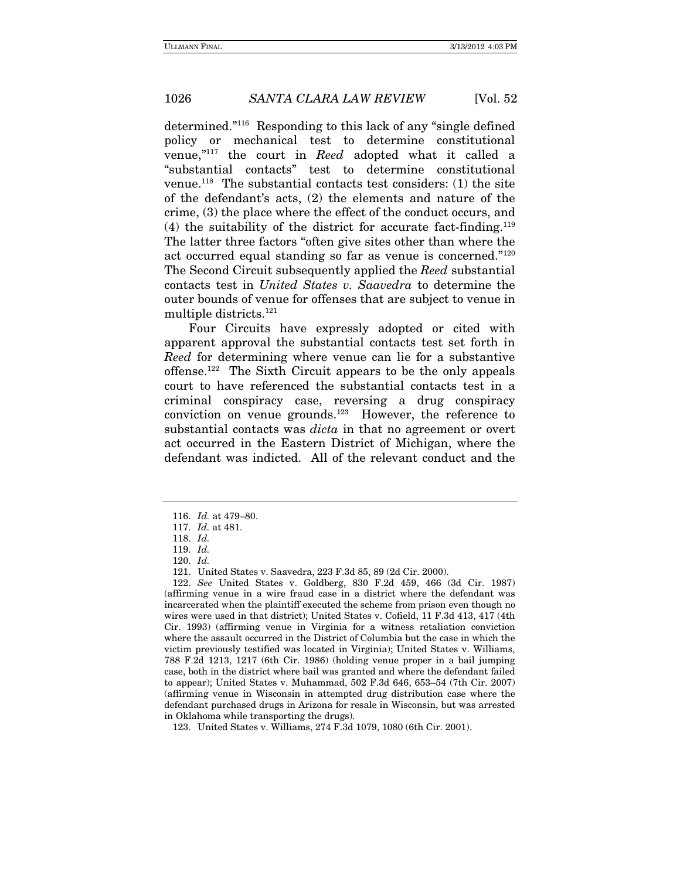determined."116 Responding to this lack of any "single defined policy or mechanical test to determine constitutional venue,"117 the court in Reed adopted what it called a "substantial contacts" test to determine constitutional venue.<sup>118</sup> The substantial contacts test considers:  $(1)$  the site of the defendant's acts, (2) the elements and nature of the crime, (3) the place where the effect of the conduct occurs, and  $(4)$  the suitability of the district for accurate fact-finding.<sup>119</sup> The latter three factors "often give sites other than where the act occurred equal standing so far as venue is concerned."120 The Second Circuit subsequently applied the Reed substantial contacts test in United States v. Saavedra to determine the outer bounds of venue for offenses that are subject to venue in multiple districts.121

Four Circuits have expressly adopted or cited with apparent approval the substantial contacts test set forth in Reed for determining where venue can lie for a substantive offense.122 The Sixth Circuit appears to be the only appeals court to have referenced the substantial contacts test in a criminal conspiracy case, reversing a drug conspiracy conviction on venue grounds.123 However, the reference to substantial contacts was *dicta* in that no agreement or overt act occurred in the Eastern District of Michigan, where the defendant was indicted. All of the relevant conduct and the

<sup>116.</sup> Id. at 479–80.

<sup>117.</sup> Id. at 481.

<sup>118.</sup> Id.

<sup>119.</sup> Id.

<sup>120.</sup> Id.

 <sup>121.</sup> United States v. Saavedra, 223 F.3d 85, 89 (2d Cir. 2000).

<sup>122.</sup> See United States v. Goldberg, 830 F.2d 459, 466 (3d Cir. 1987) (affirming venue in a wire fraud case in a district where the defendant was incarcerated when the plaintiff executed the scheme from prison even though no wires were used in that district); United States v. Cofield, 11 F.3d 413, 417 (4th Cir. 1993) (affirming venue in Virginia for a witness retaliation conviction where the assault occurred in the District of Columbia but the case in which the victim previously testified was located in Virginia); United States v. Williams, 788 F.2d 1213, 1217 (6th Cir. 1986) (holding venue proper in a bail jumping case, both in the district where bail was granted and where the defendant failed to appear); United States v. Muhammad, 502 F.3d 646, 653–54 (7th Cir. 2007) (affirming venue in Wisconsin in attempted drug distribution case where the defendant purchased drugs in Arizona for resale in Wisconsin, but was arrested in Oklahoma while transporting the drugs).

 <sup>123.</sup> United States v. Williams, 274 F.3d 1079, 1080 (6th Cir. 2001).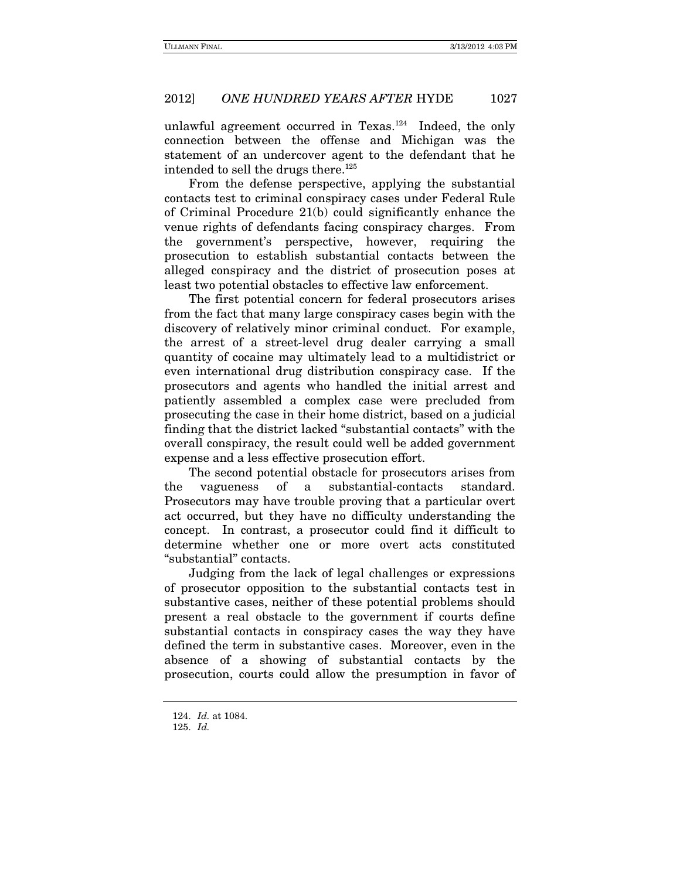unlawful agreement occurred in Texas.<sup>124</sup> Indeed, the only connection between the offense and Michigan was the statement of an undercover agent to the defendant that he intended to sell the drugs there.<sup>125</sup>

From the defense perspective, applying the substantial contacts test to criminal conspiracy cases under Federal Rule of Criminal Procedure 21(b) could significantly enhance the venue rights of defendants facing conspiracy charges. From the government's perspective, however, requiring the prosecution to establish substantial contacts between the alleged conspiracy and the district of prosecution poses at least two potential obstacles to effective law enforcement.

The first potential concern for federal prosecutors arises from the fact that many large conspiracy cases begin with the discovery of relatively minor criminal conduct. For example, the arrest of a street-level drug dealer carrying a small quantity of cocaine may ultimately lead to a multidistrict or even international drug distribution conspiracy case. If the prosecutors and agents who handled the initial arrest and patiently assembled a complex case were precluded from prosecuting the case in their home district, based on a judicial finding that the district lacked "substantial contacts" with the overall conspiracy, the result could well be added government expense and a less effective prosecution effort.

The second potential obstacle for prosecutors arises from the vagueness of a substantial-contacts standard. Prosecutors may have trouble proving that a particular overt act occurred, but they have no difficulty understanding the concept. In contrast, a prosecutor could find it difficult to determine whether one or more overt acts constituted "substantial" contacts.

 Judging from the lack of legal challenges or expressions of prosecutor opposition to the substantial contacts test in substantive cases, neither of these potential problems should present a real obstacle to the government if courts define substantial contacts in conspiracy cases the way they have defined the term in substantive cases. Moreover, even in the absence of a showing of substantial contacts by the prosecution, courts could allow the presumption in favor of

<sup>124.</sup> Id. at 1084.

<sup>125.</sup> Id.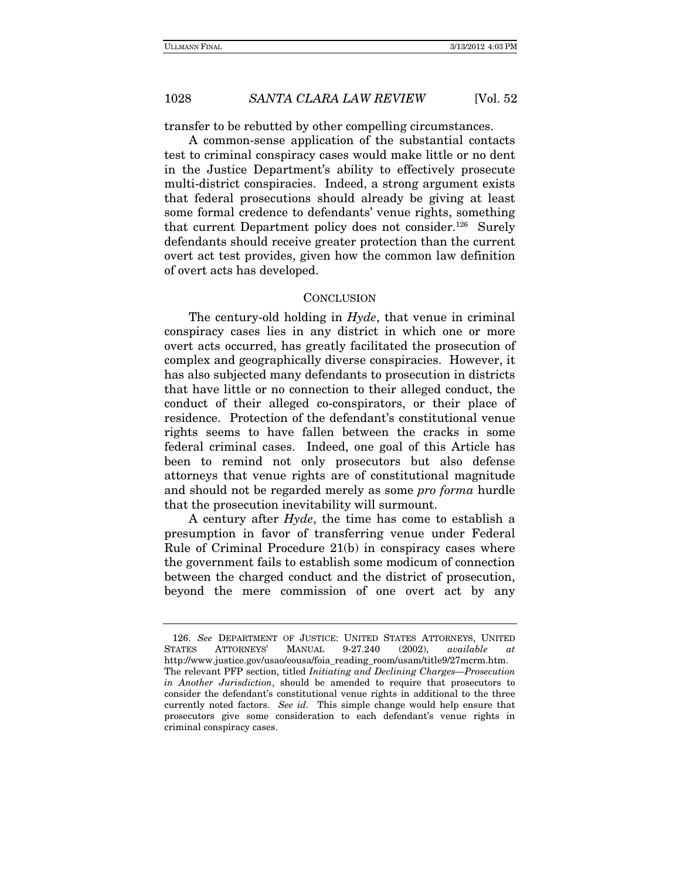transfer to be rebutted by other compelling circumstances.

A common-sense application of the substantial contacts test to criminal conspiracy cases would make little or no dent in the Justice Department's ability to effectively prosecute multi-district conspiracies. Indeed, a strong argument exists that federal prosecutions should already be giving at least some formal credence to defendants' venue rights, something that current Department policy does not consider.<sup>126</sup> Surely defendants should receive greater protection than the current overt act test provides, given how the common law definition of overt acts has developed.

#### **CONCLUSION**

The century-old holding in Hyde, that venue in criminal conspiracy cases lies in any district in which one or more overt acts occurred, has greatly facilitated the prosecution of complex and geographically diverse conspiracies. However, it has also subjected many defendants to prosecution in districts that have little or no connection to their alleged conduct, the conduct of their alleged co-conspirators, or their place of residence. Protection of the defendant's constitutional venue rights seems to have fallen between the cracks in some federal criminal cases. Indeed, one goal of this Article has been to remind not only prosecutors but also defense attorneys that venue rights are of constitutional magnitude and should not be regarded merely as some pro forma hurdle that the prosecution inevitability will surmount.

A century after Hyde, the time has come to establish a presumption in favor of transferring venue under Federal Rule of Criminal Procedure 21(b) in conspiracy cases where the government fails to establish some modicum of connection between the charged conduct and the district of prosecution, beyond the mere commission of one overt act by any

<sup>126.</sup> See DEPARTMENT OF JUSTICE: UNITED STATES ATTORNEYS, UNITED STATES ATTORNEYS' MANUAL 9-27.240 (2002), available at http://www.justice.gov/usao/eousa/foia\_reading\_room/usam/title9/27mcrm.htm. The relevant PFP section, titled Initiating and Declining Charges—Prosecution in Another Jurisdiction, should be amended to require that prosecutors to consider the defendant's constitutional venue rights in additional to the three currently noted factors. See id. This simple change would help ensure that prosecutors give some consideration to each defendant's venue rights in criminal conspiracy cases.